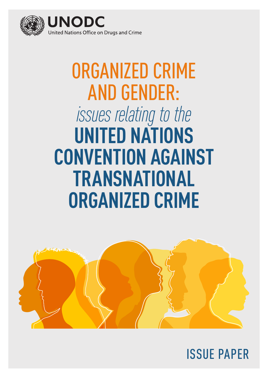

# ORGANIZED CRIME AND GENDER: *issues relating to the* **UNITED NATIONS CONVENTION AGAINST TRANSNATIONAL ORGANIZED CRIME**



ISSUE PAPER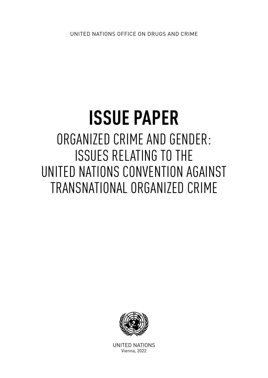## **ISSUE PAPER** ORGANIZED CRIME AND GENDER: ISSUES RELATING TO THE UNITED NATIONS CONVENTION AGAINST TRANSNATIONAL ORGANIZED CRIME



UNITED NATIONS Vienna, 2022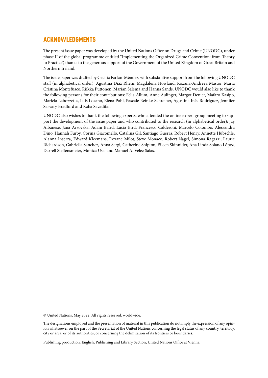#### <span id="page-3-0"></span>ACKNOWLEDGMENTS

The present issue paper was developed by the United Nations Office on Drugs and Crime (UNODC), under phase II of the global programme entitled "Implementing the Organized Crime Convention: from Theory to Practice", thanks to the generous support of the Government of the United Kingdom of Great Britain and Northern Ireland.

The issue paper was drafted by Cecilia Farfán-Méndez, with substantive support from the following UNODC staff (in alphabetical order): Agustina Diaz Rhein, Magdalena Howland, Roxana-Andreea Mastor, Maria Cristina Montefusco, Riikka Puttonen, Marian Salema and Hanna Sands. UNODC would also like to thank the following persons for their contributions: Felia Allum, Anne Aulinger, Margot Denier, Mafaro Kasipo, Mariela Labozzetta, Luís Lozano, Elena Pohl, Pascale Reinke-Schreiber, Agustina Inés Rodríguez, Jennifer Sarvary Bradford and Raha Sayadifar.

UNODC also wishes to thank the following experts, who attended the online expert group meeting to support the development of the issue paper and who contributed to the research (in alphabetical order): Jay Albanese, Jana Arsovska, Adam Baird, Lucia Bird, Francesco Calderoni, Marcelo Colombo, Alessandra Dino, Hannah Furby, Corina Giacomello, Catalina Gil, Santiago Guerra, Robert Henry, Annette Hübschle, Alanna Inserra, Edward Kleemans, Roxane Milot, Steve Monaco, Robert Nagel, Simona Ragazzi, Laurie Richardson, Gabriella Sanchez, Anna Sergi, Catherine Shipton, Eileen Skinnider, Ana Linda Solano López, Darrell Steffensmeier, Monica Usai and Manuel A. Vélez Salas.

© United Nations, May 2022. All rights reserved, worldwide.

The designations employed and the presentation of material in this publication do not imply the expression of any opinion whatsoever on the part of the Secretariat of the United Nations concerning the legal status of any country, territory, city or area, or of its authorities, or concerning the delimitation of its frontiers or boundaries.

Publishing production: English, Publishing and Library Section, United Nations Office at Vienna.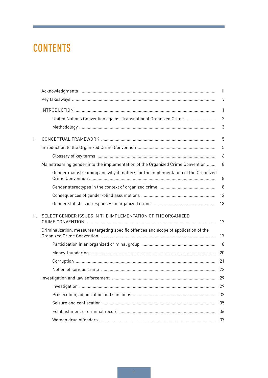## **CONTENTS**

|         |                                                                                       | $\mathsf{V}$   |
|---------|---------------------------------------------------------------------------------------|----------------|
|         |                                                                                       | $\mathbf{1}$   |
|         |                                                                                       | $\overline{2}$ |
|         |                                                                                       | $\mathfrak{Z}$ |
| I.      |                                                                                       | 5              |
|         |                                                                                       | 5              |
|         |                                                                                       | 6              |
|         | Mainstreaming gender into the implementation of the Organized Crime Convention        | 8              |
|         | Gender mainstreaming and why it matters for the implementation of the Organized       | 8              |
|         |                                                                                       | 8              |
|         |                                                                                       |                |
|         |                                                                                       |                |
| $\Pi$ . | SELECT GENDER ISSUES IN THE IMPLEMENTATION OF THE ORGANIZED                           |                |
|         | Criminalization, measures targeting specific offences and scope of application of the |                |
|         |                                                                                       |                |
|         |                                                                                       |                |
|         |                                                                                       |                |
|         |                                                                                       |                |
|         |                                                                                       |                |
|         |                                                                                       |                |
|         |                                                                                       |                |
|         |                                                                                       |                |
|         |                                                                                       |                |
|         |                                                                                       |                |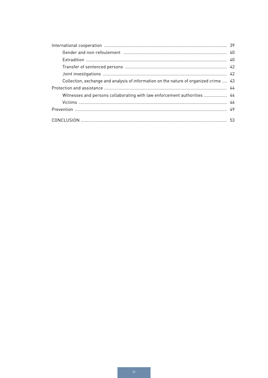| Collection, exchange and analysis of information on the nature of organized crime  43 |  |  |
|---------------------------------------------------------------------------------------|--|--|
|                                                                                       |  |  |
| Witnesses and persons collaborating with law enforcement authorities  44              |  |  |
|                                                                                       |  |  |
|                                                                                       |  |  |
|                                                                                       |  |  |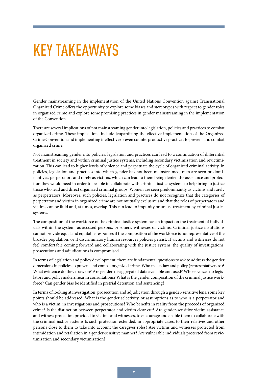## <span id="page-6-0"></span>KEY TAKEAWAYS

Gender mainstreaming in the implementation of the United Nations Convention against Transnational Organized Crime offers the opportunity to explore some biases and stereotypes with respect to gender roles in organized crime and explore some promising practices in gender mainstreaming in the implementation of the Convention.

There are several implications of not mainstreaming gender into legislation, policies and practices to combat organized crime. These implications include jeopardizing the effective implementation of the Organized Crime Convention and implementing ineffective or even counterproductive practices to prevent and combat organized crime.

Not mainstreaming gender into policies, legislation and practices can lead to a continuation of differential treatment in society and within criminal justice systems, including secondary victimization and revictimization. This can lead to higher levels of violence and perpetuate the cycle of organized criminal activity. In policies, legislation and practices into which gender has not been mainstreamed, men are seen predominantly as perpetrators and rarely as victims, which can lead to them being denied the assistance and protection they would need in order to be able to collaborate with criminal justice systems to help bring to justice those who lead and direct organized criminal groups. Women are seen predominantly as victims and rarely as perpetrators. Moreover, such policies, legislation and practices do not recognize that the categories of perpetrator and victim in organized crime are not mutually exclusive and that the roles of perpetrators and victims can be fluid and, at times, overlap. This can lead to impunity or unjust treatment by criminal justice systems.

The composition of the workforce of the criminal justice system has an impact on the treatment of individuals within the system, as accused persons, prisoners, witnesses or victims. Criminal justice institutions cannot provide equal and equitable responses if the composition of the workforce is not representative of the broader population, or if discriminatory human resources policies persist. If victims and witnesses do not feel comfortable coming forward and collaborating with the justice system, the quality of investigations, prosecutions and adjudications is compromised.

In terms of legislation and policy development, there are fundamental questions to ask to address the gender dimensions in policies to prevent and combat organized crime. Who makes law and policy (representativeness)? What evidence do they draw on? Are gender-disaggregated data available and used? Whose voices do legislators and policymakers hear in consultations? What is the gender composition of the criminal justice workforce? Can gender bias be identified in pretrial detention and sentencing?

In terms of looking at investigation, prosecution and adjudication through a gender-sensitive lens, some key points should be addressed. What is the gender selectivity, or assumptions as to who is a perpetrator and who is a victim, in investigations and prosecutions? Who benefits in reality from the proceeds of organized crime? Is the distinction between perpetrator and victim clear cut? Are gender-sensitive victim assistance and witness protection provided to victims and witnesses, to encourage and enable them to collaborate with the criminal justice system? Is such protection extended, in appropriate cases, to their relatives and other persons close to them to take into account the caregiver roles? Are victims and witnesses protected from intimidation and retaliation in a gender-sensitive manner? Are vulnerable individuals protected from revictimization and secondary victimization?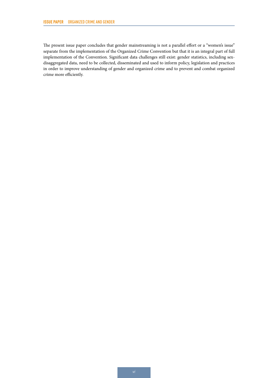The present issue paper concludes that gender mainstreaming is not a parallel effort or a "women's issue" separate from the implementation of the Organized Crime Convention but that it is an integral part of full implementation of the Convention. Significant data challenges still exist: gender statistics, including sexdisaggregated data, need to be collected, disseminated and used to inform policy, legislation and practices in order to improve understanding of gender and organized crime and to prevent and combat organized crime more efficiently.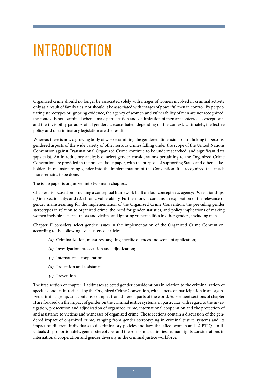## <span id="page-8-0"></span>INTRODUCTION

Organized crime should no longer be associated solely with images of women involved in criminal activity only as a result of family ties, nor should it be associated with images of powerful men in control. By perpetuating stereotypes or ignoring evidence, the agency of women and vulnerability of men are not recognized, the context is not examined when female participation and victimization of men are conferred as exceptional and the invisibility paradox of all genders is exacerbated, depending on the context. Ultimately, ineffective policy and discriminatory legislation are the result.

Whereas there is now a growing body of work examining the gendered dimensions of trafficking in persons, gendered aspects of the wide variety of other serious crimes falling under the scope of the United Nations Convention against Transnational Organized Crime continue to be underresearched, and significant data gaps exist. An introductory analysis of select gender considerations pertaining to the Organized Crime Convention are provided in the present issue paper, with the purpose of supporting States and other stakeholders in mainstreaming gender into the implementation of the Convention. It is recognized that much more remains to be done.

The issue paper is organized into two main chapters.

Chapter I is focused on providing a conceptual framework built on four concepts: *(a)* agency; *(b)* relationships; *(c)* intersectionality; and *(d)* chronic vulnerability. Furthermore, it contains an exploration of the relevance of gender mainstreaming for the implementation of the Organized Crime Convention, the prevailing gender stereotypes in relation to organized crime, the need for gender statistics, and policy implications of making women invisible as perpetrators and victims and ignoring vulnerabilities in other genders, including men.

Chapter II considers select gender issues in the implementation of the Organized Crime Convention, according to the following five clusters of articles:

- *(a)* Criminalization, measures targeting specific offences and scope of application;
- *(b)* Investigation, prosecution and adjudication;
- *(c)* International cooperation;
- *(d)* Protection and assistance;
- *(e)* Prevention.

The first section of chapter II addresses selected gender considerations in relation to the criminalization of specific conduct introduced by the Organized Crime Convention, with a focus on participation in an organized criminal group, and contains examples from different parts of the world. Subsequent sections of chapter II are focused on the impact of gender on the criminal justice systems, in particular with regard to the investigation, prosecution and adjudication of organized crime, international cooperation and the protection of and assistance to victims and witnesses of organized crime. These sections contain a discussion of the gendered impact of organized crime, ranging from gender stereotyping in criminal justice systems and its impact on different individuals to discriminatory policies and laws that affect women and LGBTIQ+ individuals disproportionately, gender stereotypes and the role of masculinities, human rights considerations in international cooperation and gender diversity in the criminal justice workforce.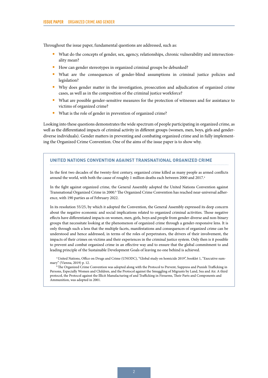<span id="page-9-0"></span>Throughout the issue paper, fundamental questions are addressed, such as:

- What do the concepts of gender, sex, agency, relationships, chronic vulnerability and intersectionality mean?
- How can gender stereotypes in organized criminal groups be debunked?
- What are the consequences of gender-blind assumptions in criminal justice policies and legislation?
- Why does gender matter in the investigation, prosecution and adjudication of organized crime cases, as well as in the composition of the criminal justice workforce?
- What are possible gender-sensitive measures for the protection of witnesses and for assistance to victims of organized crime?
- What is the role of gender in prevention of organized crime?

Looking into these questions demonstrates the wide spectrum of people participating in organized crime, as well as the differentiated impacts of criminal activity in different groups (women, men, boys, girls and genderdiverse individuals). Gender matters in preventing and combating organized crime and in fully implementing the Organized Crime Convention. One of the aims of the issue paper is to show why.

#### **UNITED NATIONS CONVENTION AGAINST TRANSNATIONAL ORGANIZED CRIME**

In the first two decades of the twenty-first century, organized crime killed as many people as armed conflicts around the world, with both the cause of roughly 1 million deaths each between 2000 and 2017.<sup>a</sup>

In the fight against organized crime, the General Assembly adopted the United Nations Convention against Transnational Organized Crime in 2000.<sup>b</sup> The Organized Crime Convention has reached near-universal adherence, with 190 parties as of February 2022.

In its resolution 55/25, by which it adopted the Convention, the General Assembly expressed its deep concern about the negative economic and social implications related to organized criminal activities. Those negative effects have differentiated impacts on women, men, girls, boys and people from gender-diverse and non-binary groups that necessitate looking at the phenomenon of organized crime through a gender-responsive lens. It is only through such a lens that the multiple facets, manifestations and consequences of organized crime can be understood and hence addressed, in terms of the roles of perpetrators, the drivers of their involvement, the impacts of their crimes on victims and their experiences in the criminal justice system. Only then is it possible to prevent and combat organized crime in an effective way and to ensure that the global commitment to and leading principle of the Sustainable Development Goals of leaving no one behind is achieved.

a United Nations, Office on Drugs and Crime (UNODC), "Global study on homicide 2019", booklet 1, "Executive summary" (Vienna, 2019) p. 12.

<sup>b</sup> The Organized Crime Convention was adopted along with the Protocol to Prevent, Suppress and Punish Trafficking in Persons, Especially Women and Children, and the Protocol against the Smuggling of Migrants by Land, Sea and Air. A third protocol, the Protocol against the Illicit Manufacturing of and Trafficking in Firearms, Their Parts and Components and Ammunition, was adopted in 2001.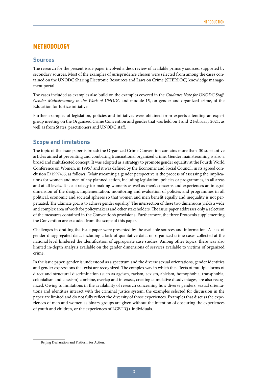#### <span id="page-10-0"></span>**METHODOLOGY**

#### **Sources**

The research for the present issue paper involved a desk review of available primary sources, supported by secondary sources. Most of the examples of jurisprudence chosen were selected from among the cases contained on the UNODC Sharing Electronic Resources and Laws on Crime (SHERLOC) knowledge management portal.

The cases included as examples also build on the examples covered in the *Guidance Note for UNODC Staff: Gender Mainstreaming in the Work of UNODC* and module 15, on gender and organized crime, of the Education for Justice initiative.

Further examples of legislation, policies and initiatives were obtained from experts attending an expert group meeting on the Organized Crime Convention and gender that was held on 1 and 2 February 2021, as well as from States, practitioners and UNODC staff.

#### **Scope and limitations**

The topic of the issue paper is broad: the Organized Crime Convention contains more than 30 substantive articles aimed at preventing and combating transnational organized crime. Gender mainstreaming is also a broad and multifaceted concept. It was adopted as a strategy to promote gender equality at the Fourth World Conference on Women, in 1995,<sup>1</sup> and it was defined by the Economic and Social Council, in its agreed conclusion E/1997/66, as follows: "Mainstreaming a gender perspective is the process of assessing the implications for women and men of any planned action, including legislation, policies or programmes, in all areas and at all levels. It is a strategy for making women's as well as men's concerns and experiences an integral dimension of the design, implementation, monitoring and evaluation of policies and programmes in all political, economic and societal spheres so that women and men benefit equally and inequality is not perpetuated. The ultimate goal is to achieve gender equality." The intersection of these two dimensions yields a wide and complex area of work for policymakers and other stakeholders. The issue paper addresses only a selection of the measures contained in the Convention's provisions. Furthermore, the three Protocols supplementing the Convention are excluded from the scope of this paper.

Challenges in drafting the issue paper were presented by the available sources and information. A lack of gender-disaggregated data, including a lack of qualitative data, on organized crime cases collected at the national level hindered the identification of appropriate case studies. Among other topics, there was also limited in-depth analysis available on the gender dimensions of services available to victims of organized crime.

In the issue paper, gender is understood as a spectrum and the diverse sexual orientations, gender identities and gender expressions that exist are recognized. The complex way in which the effects of multiple forms of direct and structural discrimination (such as ageism, racism, sexism, ableism, homophobia, transphobia, colonialism and classism) combine, overlap and intersect, creating cumulative disadvantages, are also recognized. Owing to limitations in the availability of research concerning how diverse genders, sexual orientations and identities interact with the criminal justice system, the examples selected for discussion in the paper are limited and do not fully reflect the diversity of those experiences. Examples that discuss the experiences of men and women as binary groups are given without the intention of obscuring the experiences of youth and children, or the experiences of LGBTIQ+ individuals.

<sup>&</sup>lt;sup>1</sup>Beijing Declaration and Platform for Action.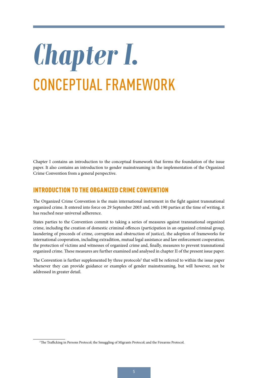# <span id="page-12-0"></span>*Chapter I.* CONCEPTUAL FRAMEWORK

Chapter I contains an introduction to the conceptual framework that forms the foundation of the issue paper. It also contains an introduction to gender mainstreaming in the implementation of the Organized Crime Convention from a general perspective.

#### INTRODUCTION TO THE ORGANIZED CRIME CONVENTION

The Organized Crime Convention is the main international instrument in the fight against transnational organized crime. It entered into force on 29 September 2003 and, with 190 parties at the time of writing, it has reached near-universal adherence.

States parties to the Convention commit to taking a series of measures against transnational organized crime, including the creation of domestic criminal offences (participation in an organized criminal group, laundering of proceeds of crime, corruption and obstruction of justice), the adoption of frameworks for international cooperation, including extradition, mutual legal assistance and law enforcement cooperation, the protection of victims and witnesses of organized crime and, finally, measures to prevent transnational organized crime. These measures are further examined and analysed in chapter II of the present issue paper.

The Convention is further supplemented by three protocols<sup>2</sup> that will be referred to within the issue paper whenever they can provide guidance or examples of gender mainstreaming, but will however, not be addressed in greater detail.

<sup>&</sup>lt;sup>2</sup>The Trafficking in Persons Protocol; the Smuggling of Migrants Protocol; and the Firearms Protocol.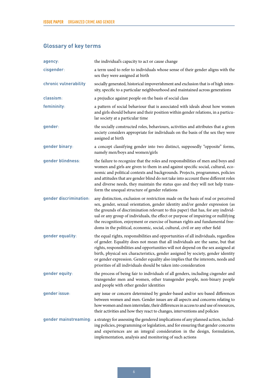### <span id="page-13-0"></span>**Glossary of key terms**

| agency:                | the individual's capacity to act or cause change                                                                                                                                                                                                                                                                                                                                                                                                                                                          |
|------------------------|-----------------------------------------------------------------------------------------------------------------------------------------------------------------------------------------------------------------------------------------------------------------------------------------------------------------------------------------------------------------------------------------------------------------------------------------------------------------------------------------------------------|
| cisgender:             | a term used to refer to individuals whose sense of their gender aligns with the<br>sex they were assigned at birth                                                                                                                                                                                                                                                                                                                                                                                        |
| chronic vulnerability  | socially generated, historical impoverishment and exclusion that is of high inten-<br>sity, specific to a particular neighbourhood and maintained across generations                                                                                                                                                                                                                                                                                                                                      |
| classism:              | a prejudice against people on the basis of social class                                                                                                                                                                                                                                                                                                                                                                                                                                                   |
| femininity:            | a pattern of social behaviour that is associated with ideals about how women<br>and girls should behave and their position within gender relations, in a particu-<br>lar society at a particular time                                                                                                                                                                                                                                                                                                     |
| gender:                | the socially constructed roles, behaviours, activities and attributes that a given<br>society considers appropriate for individuals on the basis of the sex they were<br>assigned at birth                                                                                                                                                                                                                                                                                                                |
| gender binary:         | a concept classifying gender into two distinct, supposedly "opposite" forms,<br>namely men/boys and women/girls                                                                                                                                                                                                                                                                                                                                                                                           |
| gender blindness:      | the failure to recognize that the roles and responsibilities of men and boys and<br>women and girls are given to them in and against specific social, cultural, eco-<br>nomic and political contexts and backgrounds. Projects, programmes, policies<br>and attitudes that are gender blind do not take into account these different roles<br>and diverse needs, they maintain the status quo and they will not help trans-<br>form the unequal structure of gender relations                             |
| gender discrimination: | any distinction, exclusion or restriction made on the basis of real or perceived<br>sex, gender, sexual orientation, gender identity and/or gender expression (as<br>the grounds of discrimination relevant to this paper) that has, for any individ-<br>ual or any group of individuals, the effect or purpose of impairing or nullifying<br>the recognition, enjoyment or exercise of human rights and fundamental free-<br>doms in the political, economic, social, cultural, civil or any other field |
| gender equality:       | the equal rights, responsibilities and opportunities of all individuals, regardless<br>of gender. Equality does not mean that all individuals are the same, but that<br>rights, responsibilities and opportunities will not depend on the sex assigned at<br>birth, physical sex characteristics, gender assigned by society, gender identity<br>or gender expression. Gender equality also implies that the interests, needs and<br>priorities of all individuals should be taken into consideration     |
| gender equity:         | the process of being fair to individuals of all genders, including cisgender and<br>transgender men and women, other transgender people, non-binary people<br>and people with other gender identities                                                                                                                                                                                                                                                                                                     |
| gender issue:          | any issue or concern determined by gender-based and/or sex-based differences<br>between women and men. Gender issues are all aspects and concerns relating to<br>how women and men interrelate, their differences in access to and use of resources,<br>their activities and how they react to changes, interventions and policies                                                                                                                                                                        |
| gender mainstreaming:  | a strategy for assessing the gendered implications of any planned action, includ-<br>ing policies, programming or legislation, and for ensuring that gender concerns<br>and experiences are an integral consideration in the design, formulation,<br>implementation, analysis and monitoring of such actions                                                                                                                                                                                              |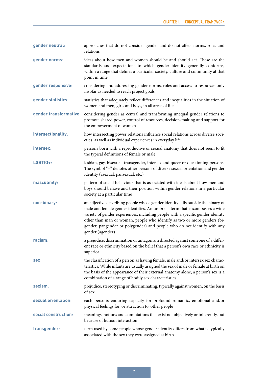**gender neutral**: approaches that do not consider gender and do not affect norms, roles and relations **gender norms**: ideas about how men and women should be and should act. These are the standards and expectations to which gender identity generally conforms, within a range that defines a particular society, culture and community at that point in time **gender responsive**: considering and addressing gender norms, roles and access to resources only insofar as needed to reach project goals gender statistics: statistics that adequately reflect differences and inequalities in the situation of women and men, girls and boys, in all areas of life **gender transformative**: considering gender as central and transforming unequal gender relations to promote shared power, control of resources, decision-making and support for the empowerment of women **intersectionality**: how intersecting power relations influence social relations across diverse societies, as well as individual experiences in everyday life **intersex**: persons born with a reproductive or sexual anatomy that does not seem to fit the typical definitions of female or male **LGBTIQ**+: lesbian, gay, bisexual, transgender, intersex and queer or questioning persons. The symbol "+" denotes other persons of diverse sexual orientation and gender identity (asexual, pansexual, etc.) **masculinity**: pattern of social behaviour that is associated with ideals about how men and boys should behave and their position within gender relations in a particular society at a particular time **non-binary**: an adjective describing people whose gender identity falls outside the binary of male and female gender identities. An umbrella term that encompasses a wide variety of gender experiences, including people with a specific gender identity other than man or woman, people who identify as two or more genders (bigender, pangender or polygender) and people who do not identify with any gender (agender) **racism**: a prejudice, discrimination or antagonism directed against someone of a different race or ethnicity based on the belief that a person's own race or ethnicity is superior **sex**: the classification of a person as having female, male and/or intersex sex characteristics. While infants are usually assigned the sex of male or female at birth on the basis of the appearance of their external anatomy alone, a person's sex is a combination of a range of bodily sex characteristics **sexism**: prejudice, stereotyping or discriminating, typically against women, on the basis of sex **sexual orientation**: each person's enduring capacity for profound romantic, emotional and/or physical feelings for, or attraction to, other people **social construction**: meanings, notions and connotations that exist not objectively or inherently, but because of human interaction **transgender**: term used by some people whose gender identity differs from what is typically associated with the sex they were assigned at birth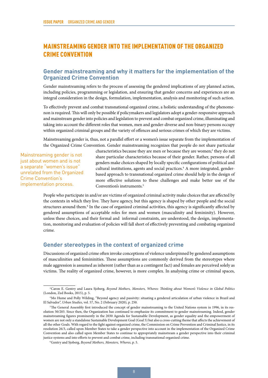#### <span id="page-15-0"></span>MAINSTREAMING GENDER INTO THE IMPLEMENTATION OF THE ORGANIZED CRIME CONVENTION

#### **Gender mainstreaming and why it matters for the implementation of the Organized Crime Convention**

Gender mainstreaming refers to the process of assessing the gendered implications of any planned action, including policies, programming or legislation, and ensuring that gender concerns and experiences are an integral consideration in the design, formulation, implementation, analysis and monitoring of such action.

To effectively prevent and combat transnational organized crime, a holistic understanding of the phenomenon is required. This will only be possible if policymakers and legislators adopt a gender-responsive approach and mainstream gender into policies and legislation to prevent and combat organized crime, illuminating and taking into account the different roles that women, men and gender-diverse and non-binary persons occupy within organized criminal groups and the variety of offences and serious crimes of which they are victims.

Mainstreaming gender is, thus, not a parallel effort or a women's issue separate from the implementation of the Organized Crime Convention. Gender mainstreaming recognizes that people do not share particular

Mainstreaming gender is not just about women and is not a separate "women's issue" unrelated from the Organized Crime Convention's implementation process.

characteristics because they are men or because they are women;<sup>3</sup> they do not share particular characteristics because of their gender. Rather, persons of all genders make choices shaped by locally specific configurations of political and cultural institutions, agents and social practices.<sup>4</sup> A more integrated, genderbased approach to transnational organized crime should help in the design of more effective solutions to these challenges and make better use of the Convention's instruments.<sup>5</sup>

People who participate in and/or are victims of organized criminal activity make choices that are affected by the contexts in which they live. They have agency, but this agency is shaped by other people and the social structures around them.<sup>6</sup> In the case of organized criminal activities, this agency is significantly affected by gendered assumptions of acceptable roles for men and women (masculinity and femininity). However, unless these choices, and their formal and informal constraints, are understood, the design, implementation, monitoring and evaluation of policies will fall short of effectively preventing and combating organized crime.

#### **Gender stereotypes in the context of organized crime**

Discussions of organized crime often invoke conceptions of violence underpinned by gendered assumptions of masculinities and femininities. These assumptions are commonly derived from the stereotypes where male aggression is assumed as inherent (rather than as a contingent fact) and females are perceived solely as victims. The reality of organized crime, however, is more complex. In analysing crime or criminal spaces,

<sup>3</sup>Caron E. Gentry and Laura Sjoberg, *Beyond Mothers, Monsters, Whores: Thinking about Women's Violence in Global Politics* (London, Zed Books, 2015), p. 5.

<sup>4</sup>Mo Hume and Polly Wilding, "Beyond agency and passivity: situating a gendered articulation of urban violence in Brazil and El Salvador", *Urban Studies*, vol. 57, No. 2 (February 2020), p. 250.

<sup>&</sup>lt;sup>5</sup>The General Assembly first introduced the concept of gender mainstreaming to the United Nations system in 1996, in its resolution 50/203. Since then, the Organization has continued to emphasize its commitment to gender mainstreaming. Indeed, gender mainstreaming figures prominently in the 2030 Agenda for Sustainable Development, as gender equality and the empowerment of women are not only a standalone Sustainable Development Goal (Goal 5) but also a cross-cutting theme that affects the achievement of all the other Goals. With regard to the fight against organized crime, the Commission on Crime Prevention and Criminal Justice, in its resolution 26/3, called upon Member States to take a gender perspective into account in the implementation of the Organized Crime Convention and also called upon Member States to continue to appropriately mainstream a gender perspective into their criminal justice systems and into efforts to prevent and combat crime, including transnational organized crime.

<sup>6</sup>Gentry and Sjoberg, *Beyond Mothers, Monsters, Whores*, p. 5.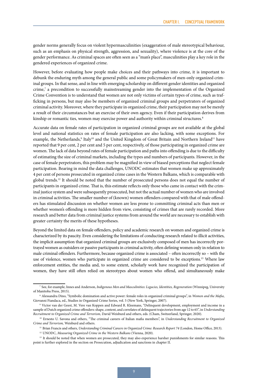gender norms generally focus on violent hypermasculinities (exaggeration of male stereotypical behaviour, such as an emphasis on physical strength, aggression, and sexuality), where violence is at the core of the gender performance. As criminal spaces are often seen as a "man's place", masculinities play a key role in the gendered experiences of organized crime.

However, before evaluating how people make choices and their pathways into crime, it is important to debunk the enduring myth among the general public and some policymakers of men-only organized criminal groups. In that sense, and in line with emerging scholarship on different gender identities and organized crime,7 a precondition to successfully mainstreaming gender into the implementation of the Organized Crime Convention is to understand that women are not only victims of certain types of crime, such as trafficking in persons, but may also be members of organized criminal groups and perpetrators of organized criminal activity. Moreover, where they participate in organized crime, their participation may not be merely a result of their circumstances but an exercise of their own agency. Even if their participation derives from kinship or romantic ties, women may exercise power and authority within criminal structures.<sup>8</sup>

Accurate data on female rates of participation in organized criminal groups are not available at the global level and national statistics on rates of female participation are also lacking, with some exceptions. For example, the Netherlands,<sup>9</sup> Italy<sup>10</sup> and the United Kingdom of Great Britain and Northern Ireland<sup>11</sup> have reported that 9 per cent, 2 per cent and 5 per cent, respectively, of those participating in organized crime are women. The lack of data beyond rates of female participation and paths into offending is due to the difficulty of estimating the size of criminal markets, including the types and numbers of participants. However, in the case of female perpetrators, this problem may be magnified in view of biased perceptions that neglect female participation. Bearing in mind the data challenges, UNODC estimates that women make up approximately 4 per cent of persons prosecuted in organized crime cases in the Western Balkans, which is comparable with global trends.12 It should be noted that the number of prosecuted persons does not equal the number of participants in organized crime. That is, this estimate reflects only those who came in contact with the criminal justice system and were subsequently prosecuted, but not the actual number of women who are involved in criminal activities. The smaller number of (known) women offenders compared with that of male offenders has stimulated discussion on whether women are less prone to committing criminal acts than men or whether women's offending is more hidden from view, consisting of crimes that are rarely recorded. More research and better data from criminal justice systems from around the world are necessary to establish with greater certainty the merits of these hypotheses.

Beyond the limited data on female offenders, policy and academic research on women and organized crime is characterized by its paucity. Even considering the limitations of conducting research related to illicit activities, the implicit assumption that organized criminal groups are exclusively composed of men has incorrectly portrayed women as outsiders or passive participants in criminal activity, often defining women only in relation to male criminal offenders. Furthermore, because organized crime is associated – often incorrectly so – with the use of violence, women who participate in organized crime are considered to be exceptions.<sup>13</sup> Where law enforcement entities, the media and, to some extent, scholarly work have recognized the participation of women, they have still often relied on stereotypes about women who offend, and simultaneously make

<sup>7</sup> See, for example, Innes and Anderson, *Indigenous Men and Masculinities: Legacies, Identities, Regeneration* (Winnipeg, University of Manitoba Press, 2015).

<sup>8</sup> Alessandra Dino, "Symbolic domination and active power: female roles in organized criminal groups", in *Women and the Mafia*, Giovanni Fiandaca, ed., Studies in Organized Crime Series, vol. 5 (New York, Springer, 2007).

<sup>9</sup> Victor van der Geest, M. Vere van Koppen and Edward R. Kleemans, "Delinquent development, employment and income in a sample of Dutch organized crime offenders: shape, content, and correlates of delinquent trajectories from age 12 to 65", in *Understanding Recruitment to Organized Crime and Terrorism,* David Weisburd and others, eds. (Cham, Switzerland, Springer, 2020).

<sup>10</sup> Ernesto U. Savona and others, "The criminal careers of Italian mafia members", in *Understanding Recruitment to Organized Crime and Terrorism,* Weisburd and others.

<sup>&</sup>lt;sup>11</sup> Brian Francis and others, *Understanding Criminal Careers in Organized Crime: Research Report 74* (London, Home Office, 2013).

<sup>12</sup> UNODC, *Measuring Organized Crime in the Western Balkans* (Vienna, 2020).

<sup>&</sup>lt;sup>13</sup> It should be noted that when women are prosecuted, they may also experience harsher punishments for similar reasons. This point is further explored in the section on Prosecution, adjudication and sanctions in chapter II.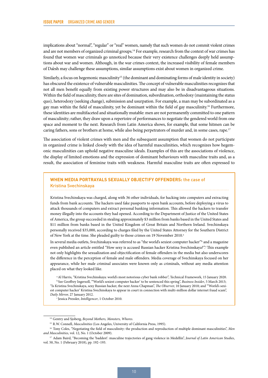implications about "normal", "regular" or "real" women, namely that such women do not commit violent crimes and are not members of organized criminal groups.14 For example, research from the context of war crimes has found that women war criminals go unnoticed because their very existence challenges deeply held assumptions about war and women. Although, in the war crimes context, the increased visibility of female members of Da'esh may challenge these assumptions, similar assumptions exist about women in organized crime.

Similarly, a focus on hegemonic masculinity<sup>15</sup> (the dominant and dominating forms of male identity in society) has obscured the existence of vulnerable masculinities. The concept of vulnerable masculinities recognizes that not all men benefit equally from existing power structures and may also be in disadvantageous situations. Within the field of masculinity, there are sites of domination, subordination, orthodoxy (maintaining the status quo), heterodoxy (seeking change), submission and usurpation. For example, a man may be subordinated as a gay man within the field of masculinity, yet be dominant within the field of gay masculinity.16 Furthermore, these identities are multifaceted and situationally mutable: men are not permanently committed to one pattern of masculinity; rather, they draw upon a repertoire of performances to negotiate the gendered world from one space and moment to the next. Research from Latin America shows, for example, that some hitmen can be caring fathers, sons or brothers at home, while also being perpetrators of murder and, in some cases, rape.17

The association of violent crimes with men and the subsequent assumption that women do not participate in organized crime is linked closely with the idea of harmful masculinities, which recognizes how hegemonic masculinities can uphold negative masculine ideals. Examples of this are the associations of violence, the display of limited emotions and the expression of dominant behaviours with masculine traits and, as a result, the association of feminine traits with weakness. Harmful masculine traits are often expressed to

#### **WHEN MEDIA PORTRAYALS SEXUALLY OBJECTIFY OFFENDERS:** the case of Kristina Svechinskaya

Kristina Svechinskaya was charged, along with 36 other individuals, for hacking into computers and extracting funds from bank accounts. The hackers used fake passports to open bank accounts, before deploying a virus to attack thousands of computers and extract personal banking information. This allowed the hackers to transfer money illegally into the accounts they had opened. According to the Department of Justice of the United States of America, the group succeeded in stealing approximately \$3 million from banks based in the United States and \$11 million from banks based in the United Kingdom of Great Britain and Northern Ireland. Svechinskaya personally received \$35,000, according to charges filed by the United States Attorney for the Southern District of New York at the time. She pleaded guilty to those crimes on 19 November 2010.<sup>a</sup>

In several media outlets, Svechinskaya was referred to as "the world's sexiest computer hacker"<sup>b</sup> and a magazine even published an article entitled "How sexy is accused Russian hacker Kristina Svechinskaya?". This example not only highlights the sexualization and objectification of female offenders in the media but also underscores the difference in the perception of female and male offenders. Media coverage of Svechinskaya focused on her appearance, while her male criminal associates were known only as criminals, without any media attention placed on what they looked like.

a Al Harris, "Kristina Svechinskaya: world's most notorious cyber bank robber", Technical Framework, 15 January 2020. b See Geoffrey Ingersoll, "'World's sexiest computer hacker' to be sentenced this spring", *Business Insider*, 5 March 2013; "Is Kristina Svechinskaya, sexy Russian hacker, the next Anna Chapman", *The Observer,* 10 January 2010; and "'World's sexiest computer hacker' Kristina Svechinskaya to appear in court in connection with multi-million dollar internet fraud scam", *Daily Mirror,* 27 January 2012.<br><sup>c</sup> Jessica Pressler, *Intelligencer*, 1 October 2010.

<sup>14</sup> Gentry and Sjoberg, *Beyond Mothers, Monsters, Whores*.

<sup>15</sup> R.W. Connell, *Masculinities* (Los Angeles, University of California Press, 1995).

<sup>&</sup>lt;sup>16</sup> Tony Coles, "Negotiating the field of masculinity: the production and reproduction of multiple dominant masculinities", *Men and Masculinities*, vol. 12, No. 1 (October 2009).

<sup>17</sup> Adam Baird, "Becoming the 'baddest': masculine trajectories of gang violence in Medellín", *Journal of Latin American Studies*, vol. 50, No. 1 (February 2018), pp. 192–193.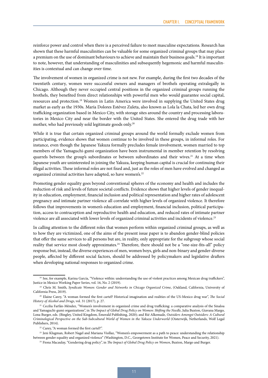reinforce power and control when there is a perceived failure to meet masculine expectations. Research has shown that these harmful masculinities can be valuable for some organized criminal groups that may place a premium on the use of dominant behaviours to achieve and maintain their business goals.18 It is important to note, however, that understanding of masculinities and subsequently hegemonic and harmful masculinities is contextual and can change over time.

The involvement of women in organized crime is not new. For example, during the first two decades of the twentieth century, women were successful owners and managers of brothels operating extralegally in Chicago. Although they never occupied central positions in the organized criminal groups running the brothels, they benefited from direct relationships with powerful men who would guarantee social capital, resources and protection.19 Women in Latin America were involved in supplying the United States drug market as early as the 1930s. María Dolores Estévez Zuleta, also known as Lola la Chata, led her own drug trafficking organization based in Mexico City, with storage sites around the country and processing laboratories in Mexico City and near the border with the United States. She entered the drug trade with her mother, who had previously sold legitimate goods only.20

While it is true that certain organized criminal groups around the world formally exclude women from participating, evidence shows that women continue to be involved in these groups, in informal roles. For instance, even though the Japanese Yakuza formally precludes female involvement, women married to top members of the Yamaguchi-gumi organization have been instrumental in member retention by resolving quarrels between the group's subordinates or between subordinates and their wives.<sup>21</sup> At a time when Japanese youth are uninterested in joining the Yakuza, keeping human capital is crucial for continuing their illegal activities. These informal roles are not fixed and, just as the roles of men have evolved and changed as organized criminal activities have adapted, so have women's.<sup>22</sup>

Promoting gender equality goes beyond conventional spheres of the economy and health and includes the reduction of risk and levels of future societal conflicts. Evidence shows that higher levels of gender inequality in education, employment, financial inclusion and political representation and higher rates of adolescent pregnancy and intimate partner violence all correlate with higher levels of organized violence. It therefore follows that improvements in women's education and employment, financial inclusion, political participation, access to contraception and reproductive health and education, and reduced rates of intimate partner violence are all associated with lower levels of organized criminal activities and incidents of violence.<sup>23</sup>

In calling attention to the different roles that women perform within organized criminal groups, as well as to how they are victimized, one of the aims of the present issue paper is to abandon gender-blind policies that offer the same services to all persons but are, in reality, only appropriate for the subgroup whose social reality that service most closely approximates.<sup>24</sup> Therefore, there should not be a "one-size-fits-all" policy response but, instead, the diverse experiences of men, women boys, girls and non-binary and gender-diverse people, affected by different social factors, should be addressed by policymakers and legislative drafters when developing national responses to organized crime.

<sup>&</sup>lt;sup>18</sup> See, for example, Karina García, "Violence within: understanding the use of violent practices among Mexican drug traffickers", Justice in Mexico Working Paper Series, vol. 16, No. 2 (2019).

<sup>&</sup>lt;sup>19</sup> Chris M. Smith, *Syndicate Women: Gender and Networks in Chicago Organized Crime*, (Oakland, California, University of California Press, 2019).

<sup>20</sup> Elaine Carey, "A woman formed the first cartel? Historical imagination and realities of the US-Mexico drug war", *The Social History of Alcohol and Drugs*, vol. 31 (2017), p. 27.

<sup>&</sup>lt;sup>21</sup> Cecilia Farfán-Méndez, "Women's involvement in organized crime and drug trafficking: a comparative analysis of the Sinaloa and Yamaguchi-gumi organizations", in *The Impact of Global Drug Policy on Women: Shifting the Needle*, Julia Buxton, Giavana Margo, Lona Burger, eds. (Bingley, United Kingdom, Emerald Publishing, 2020); and Rié Alkemade, *Outsiders Amongst Outsiders: A Cultural Criminological Perspective on the Sub-Subcultural World of Women in the Yakuza Underworld* (Oisterwijk, Netherlands, Wolf Legal Publishers, 2014).

<sup>22</sup> Carey, "A woman formed the first cartel?".

<sup>&</sup>lt;sup>23</sup> Jeni Klugman, Robert Nagel and Mariana Viollaz, "Women's empowerment as a path to peace: understanding the relationship between gender equality and organized violence" (Washington, D.C., Georgetown Institute for Women, Peace and Security, 2021).

<sup>24</sup> Fiona Macaulay, "Gendering drug policy", in *The Impact of Global Drug Policy on Women*, Buxton, Margo and Burger.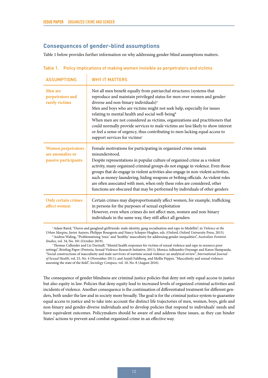#### <span id="page-19-0"></span>**Consequences of gender-blind assumptions**

Table 1 below provides further information on why addressing gender-blind assumptions matters.

| <b>ASSUMPTIONS</b>                                                    | <b>WHY IT MATTERS</b>                                                                                                                                                                                                                                                                                                                                                                                                                                                                                                                                                                                                                            |
|-----------------------------------------------------------------------|--------------------------------------------------------------------------------------------------------------------------------------------------------------------------------------------------------------------------------------------------------------------------------------------------------------------------------------------------------------------------------------------------------------------------------------------------------------------------------------------------------------------------------------------------------------------------------------------------------------------------------------------------|
| Men are<br>perpetrators and<br>rarely victims                         | Not all men benefit equally from patriarchal structures (systems that<br>reproduce and maintain privileged status for men over women and gender-<br>diverse and non-binary individuals) <sup>a</sup><br>Men and boys who are victims might not seek help, especially for issues<br>relating to mental health and social well-being <sup>b</sup><br>When men are not considered as victims, organizations and practitioners that<br>could normally provide services to male victims are less likely to show interest<br>or feel a sense of urgency, thus contributing to men lacking equal access to<br>support services for victims <sup>c</sup> |
| <b>Women perpetrators</b><br>are anomalies or<br>passive participants | Female motivations for participating in organized crime remain<br>misunderstood.<br>Despite representations in popular culture of organized crime as a violent<br>activity, many organized criminal groups do not engage in violence. Even those<br>groups that do engage in violent activities also engage in non-violent activities,<br>such as money-laundering, hiding weapons or bribing officials. As violent roles<br>are often associated with men, when only these roles are considered, other<br>functions are obscured that may be performed by individuals of other genders                                                          |
| Only certain crimes<br>affect women                                   | Certain crimes may disproportionately affect women, for example, trafficking<br>in persons for the purposes of sexual exploitation<br>However, even when crimes do not affect men, women and non-binary<br>individuals in the same way, they still affect all genders                                                                                                                                                                                                                                                                                                                                                                            |

Table 1. Policy implications of making women invisible as perpetrators and victims

a Adam Baird, "Duros and gangland girlfriends: male identity, gang socialisation and rape in Medellín", in *Violence at the Urban Margins*, Javier Auyero, Philippe Bourgeois and Nancy Scheper-Hughes, eds. (Oxford, Oxford University Press, 2015). b Andrea Waling, "Problematising 'toxic' and 'healthy' masculinity for addressing gender inequalities", *Australian Feminist Studies*, vol. 34, No. 101 (October 2019).

c Thomas Callender and Liz Dartnall, "Mental health responses for victims of sexual violence and rape in resource poor settings", Briefing Paper (Pretoria, Sexual Violence Research Initiative, 2011); Monica Adhiambo Onyango and Karen Hampanda, "Social constructions of masculinity and male survivors of wartime sexual violence: an analytical review", *International Journal of Sexual Health*, vol. 23, No. 4 (November 2011); and Anjuli Fahlberg, and Mollie Pepper, "Masculinity and sexual violence: assessing the state of the field", *Sociology Compass*, vol. 10, No. 8 (August 2016).

The consequence of gender blindness are criminal justice policies that deny not only equal access to justice but also equity in law. Policies that deny equity lead to increased levels of organized criminal activities and incidents of violence. Another consequence is the continuation of differentiated treatment for different genders, both under the law and in society more broadly. The goal is for the criminal justice system to guarantee equal access to justice and to take into account the distinct life trajectories of men, women, boys, girls and non-binary and gender-diverse individuals and to develop policies that respond to individuals' needs and have equivalent outcomes. Policymakers should be aware of and address these issues, as they can hinder States' actions to prevent and combat organized crime in an effective way.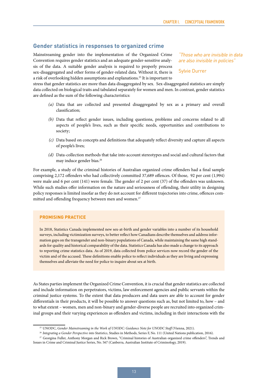#### <span id="page-20-0"></span>**Gender statistics in responses to organized crime**

Mainstreaming gender into the implementation of the Organized Crime Convention requires gender statistics and an adequate gender-sensitive analysis of the data. A suitable gender analysis is required to properly process sex-disaggregated and other forms of gender-related data. Without it, there is a risk of overlooking hidden assumptions and explanations.25 It is important to

*"Those who are invisible in data are also invisible in policies"*

Sylvie Durrer

stress that gender statistics are more than data disaggregated by sex. Sex-disaggregated statistics are simply data collected on biological traits and tabulated separately for women and men. In contrast, gender statistics are defined as the sum of the following characteristics:

- *(a)* Data that are collected and presented disaggregated by sex as a primary and overall classification;
- *(b)* Data that reflect gender issues, including questions, problems and concerns related to all aspects of people's lives, such as their specific needs, opportunities and contributions to society;
- *(c)* Data based on concepts and definitions that adequately reflect diversity and capture all aspects of people's lives;
- *(d)* Data-collection methods that take into account stereotypes and social and cultural factors that may induce gender bias.<sup>26</sup>

For example, a study of the criminal histories of Australian organized crime offenders had a final sample comprising 2,172 offenders who had collectively committed 37,689 offences. Of those, 92 per cent (1,994) were male and 6 per cent (141) were female. The gender of 2 per cent (37) of the offenders was unknown. While such studies offer information on the nature and seriousness of offending, their utility in designing policy responses is limited insofar as they do not account for different trajectories into crime, offences committed and offending frequency between men and women.<sup>27</sup>

#### **PROMISING PRACTICE**

In 2018, Statistics Canada implemented new sex-at-birth and gender variables into a number of its household surveys, including victimization surveys, to better reflect how Canadians describe themselves and address information gaps on the transgender and non-binary populations of Canada, while maintaining the same high standards for quality and historical comparability of the data. Statistics Canada has also made a change to its approach to reporting crime statistics data. As of 2019, data collected from police services now record the gender of the victim and of the accused. These definitions enable police to reflect individuals as they are living and expressing themselves and alleviate the need for police to inquire about sex at birth.

As States parties implement the Organized Crime Convention, it is crucial that gender statistics are collected and include information on perpetrators, victims, law enforcement agencies and public servants within the criminal justice systems. To the extent that data producers and data users are able to account for gender differentials in their products, it will be possible to answer questions such as, but not limited to, how – and to what extent – women, men and non-binary and gender-diverse people are recruited into organized criminal groups and their varying experiences as offenders and victims, including in their interactions with the

<sup>25</sup> UNODC, *Gender Mainstreaming in the Work of UNODC: Guidance Note for UNODC Staff* (Vienna, 2021).

<sup>26</sup> *Integrating a Gender Perspective into Statistics*, Studies in Methods, Series F, No. 111 (United Nations publication, 2016).

<sup>27</sup> Georgina Fuller, Anthony Morgan and Rick Brown, "Criminal histories of Australian organized crime offenders", Trends and Issues in Crime and Criminal Justice Series, No. 567 (Canberra, Australian Institute of Criminology, 2019).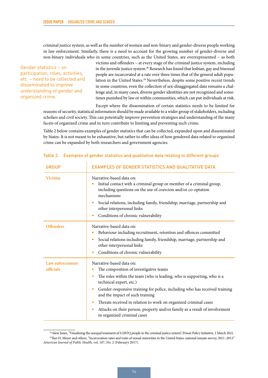criminal justice system, as well as the number of women and non-binary and gender-diverse people working in law enforcement. Similarly, there is a need to account for the growing number of gender-diverse and non-binary individuals who in some countries, such as the United States, are overrepresented – as both

Gender statistics – on participation, roles, activities, etc. – need to be collected and disseminated to improve understanding of gender and organized crime.

victims and offenders – at every stage of the criminal justice system, including in the juvenile justice system.28 Research has found that lesbian, gay and bisexual people are incarcerated at a rate over three times that of the general adult population in the United States.<sup>29</sup> Nevertheless, despite some positive recent trends in some countries, even the collection of sex-disaggregated data remains a challenge and, in many cases, diverse gender identities are not recognized and sometimes punished by law or within communities, which can put individuals at risk.

Except where the dissemination of certain statistics needs to be limited for reasons of security, statistical information should be made available to a wider group of stakeholders, including scholars and civil society. This can potentially improve prevention strategies and understanding of the many facets of organized crime and in turn contribute to limiting and preventing such crime.

Table 2 below contains examples of gender statistics that can be collected, expanded upon and disseminated by States. It is not meant to be exhaustive, but rather to offer ideas of how gendered data related to organized crime can be expanded by both researchers and government agencies.

| <b>GROUP</b>                 | <b>EXAMPLES OF GENDER STATISTICS AND QUALITATIVE DATA</b>                                                                                                                                                                                                                                                                                                                                                                                                                                             |
|------------------------------|-------------------------------------------------------------------------------------------------------------------------------------------------------------------------------------------------------------------------------------------------------------------------------------------------------------------------------------------------------------------------------------------------------------------------------------------------------------------------------------------------------|
| <b>Victims</b>               | Narrative-based data on:<br>Initial contact with a criminal group or member of a criminal group,<br>including questions on the use of coercion and/or co-optation<br>mechanisms<br>Social relations, including family, friendship, marriage, partnership and<br>۰<br>other interpersonal links<br>Conditions of chronic vulnerability<br>٠                                                                                                                                                            |
| <b>Offenders</b>             | Narrative-based data on:<br>Behaviour including recruitment, retention and offences committed<br>٠<br>Social relations including family, friendship, marriage, partnership and<br>۰<br>other interpersonal links<br>Conditions of chronic vulnerability                                                                                                                                                                                                                                               |
| Law enforcement<br>officials | Narrative-based data on:<br>The composition of investigative teams<br>The roles within the team (who is leading, who is supporting, who is a<br>$\bullet$<br>technical expert, etc.)<br>Gender-responsive training for police, including who has received training<br>٠<br>and the impact of such training<br>Threats received in relation to work on organized criminal cases<br>٠<br>Attacks on their person, property and/or family as a result of involvement<br>٠<br>in organized criminal cases |

#### Table 2. Examples of gender statistics and qualitative data relating to different groups

<sup>&</sup>lt;sup>28</sup> Alexi Jones, "Visualizing the unequal treatment of LGBTQ people in the criminal justice system", Prison Policy Initiative, 2 March 2021. 29Ilan H. Meyer and others, "Incarceration rates and traits of sexual minorities in the United States: national inmate survey, 2011–2012" *American Journal of Public Health*, vol. 107, No. 2 (February 2017).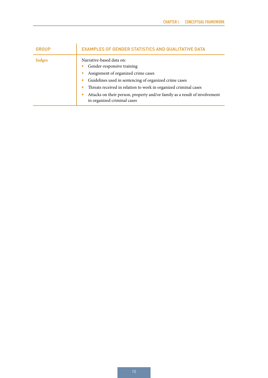| <b>GROUP</b> | <b>EXAMPLES OF GENDER STATISTICS AND QUALITATIVE DATA</b>                                                                                                                                                                                                                                                                                |
|--------------|------------------------------------------------------------------------------------------------------------------------------------------------------------------------------------------------------------------------------------------------------------------------------------------------------------------------------------------|
| Judges       | Narrative-based data on:<br>Gender-responsive training<br>Assignment of organized crime cases<br>Guidelines used in sentencing of organized crime cases<br>Threats received in relation to work in organized criminal cases<br>Attacks on their person, property and/or family as a result of involvement<br>in organized criminal cases |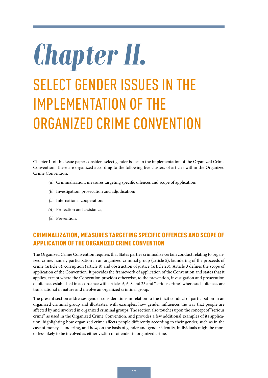# <span id="page-24-0"></span>*Chapter II.* SELECT GENDER ISSUES IN THE IMPLEMENTATION OF THE ORGANIZED CRIME CONVENTION

Chapter II of this issue paper considers select gender issues in the implementation of the Organized Crime Convention. These are organized according to the following five clusters of articles within the Organized Crime Convention:

- *(a)* Criminalization, measures targeting specific offences and scope of application;
- *(b)* Investigation, prosecution and adjudication;
- *(c)* International cooperation;
- *(d)* Protection and assistance;
- *(e)* Prevention.

### CRIMINALIZATION, MEASURES TARGETING SPECIFIC OFFENCES AND SCOPE OF APPLICATION OF THE ORGANIZED CRIME CONVENTION

The Organized Crime Convention requires that States parties criminalize certain conduct relating to organized crime, namely participation in an organized criminal group (article 5), laundering of the proceeds of crime (article 6), corruption (article 8) and obstruction of justice (article 23). Article 3 defines the scope of application of the Convention. It provides the framework of application of the Convention and states that it applies, except where the Convention provides otherwise, to the prevention, investigation and prosecution of offences established in accordance with articles 5, 6, 8 and 23 and "serious crime", where such offences are transnational in nature and involve an organized criminal group.

The present section addresses gender considerations in relation to the illicit conduct of participation in an organized criminal group and illustrates, with examples, how gender influences the way that people are affected by and involved in organized criminal groups. The section also touches upon the concept of "serious crime" as used in the Organized Crime Convention, and provides a few additional examples of its application, highlighting how organized crime affects people differently according to their gender, such as in the case of money-laundering, and how, on the basis of gender and gender identity, individuals might be more or less likely to be involved as either victim or offender in organized crime.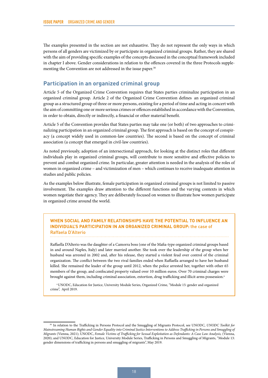<span id="page-25-0"></span>The examples presented in the section are not exhaustive. They do not represent the only ways in which persons of all genders are victimized by or participate in organized criminal groups. Rather, they are shared with the aim of providing specific examples of the concepts discussed in the conceptual framework included in chapter I above. Gender considerations in relation to the offences covered in the three Protocols supplementing the Convention are not addressed in the issue paper.<sup>30</sup>

#### **Participation in an organized criminal group**

Article 5 of the Organized Crime Convention requires that States parties criminalize participation in an organized criminal group. Article 2 of the Organized Crime Convention defines an organized criminal group as a structured group of three or more persons, existing for a period of time and acting in concert with the aim of committing one or more serious crimes or offences established in accordance with the Convention, in order to obtain, directly or indirectly, a financial or other material benefit.

Article 5 of the Convention provides that States parties may take one (or both) of two approaches to criminalizing participation in an organized criminal group. The first approach is based on the concept of conspiracy (a concept widely used in common-law countries). The second is based on the concept of criminal association (a concept that emerged in civil-law countries).

As noted previously, adoption of an intersectional approach, for looking at the distinct roles that different individuals play in organized criminal groups, will contribute to more sensitive and effective policies to prevent and combat organized crime. In particular, greater attention is needed in the analysis of the roles of women in organized crime – and victimization of men – which continues to receive inadequate attention in studies and public policies.

As the examples below illustrate, female participation in organized criminal groups is not limited to passive involvement. The examples draw attention to the different functions and the varying contexts in which women negotiate their agency. They are deliberately focused on women to illustrate how women participate in organized crime around the world.

#### **WHEN SOCIAL AND FAMILY RELATIONSHIPS HAVE THE POTENTIAL TO INFLUENCE AN INDIVIDUAL'S PARTICIPATION IN AN ORGANIZED CRIMINAL GROUP:** the case of Raffaela D'Alterio

Raffaella D'Alterio was the daughter of a Camorra boss (one of the Mafia-type organized criminal groups based in and around Naples, Italy) and later married another. She took over the leadership of the group when her husband was arrested in 2002 and, after his release, they started a violent feud over control of the criminal organization. The conflict between the two rival families ended when Raffaella arranged to have her husband killed. She remained the leader of the group until 2012, when the police arrested her, together with other 65 members of the group, and confiscated property valued over 10 million euros. Over 70 criminal charges were brought against them, including criminal association, extortion, drug trafficking and illicit arms possession.<sup>a</sup>

a UNODC, Education for Justice, University Module Series, Organized Crime, "Module 15: gender and organized crime", April 2019.

<sup>30</sup> In relation to the Trafficking in Persons Protocol and the Smuggling of Migrants Protocol, see UNODC, *UNODC Toolkit for Mainstreaming Human Rights and Gender Equality into Criminal Justice Interventions to Address Trafficking in Persons and Smuggling of Migrants* (Vienna, 2021); UNODC, *Female Victims of Trafficking for Sexual Exploitation as Defendants: A Case Law Analysis,* (Vienna, 2020); and UNODC, Education for Justice, University Module Series, Trafficking in Persons and Smuggling of Migrants, "Module 13: gender dimensions of trafficking in persons and smuggling of migrants", May 2019.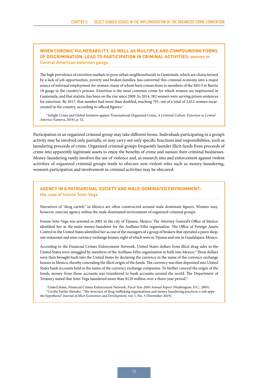#### **WHEN CHRONIC VULNERABILITY, AS WELL AS MULTIPLE AND COMPOUNDING FORMS OF DISCRIMINATION, LEAD TO PARTICIPATION IN CRIMINAL ACTIVITIES:** women in Central American extortion gangs

The high prevalence of extortion markets in poor urban neighbourhoods in Guatemala, which are characterized by a lack of job opportunities, poverty and broken families, has converted this criminal economy into a major source of informal employment for women, many of whom have connections to members of the MS13 or Barrio 18 gangs in the country's prisons. Extortion is the most common crime for which women are imprisoned in Guatemala, and that statistic has been on the rise since 2009. In 2014, 382 women were serving prison sentences for extortion. By 2017, that number had more than doubled, reaching 791, out of a total of 2,612 women incarcerated in the country, according to official figures.<sup>a</sup>

a InSight Crime and Global Initiative against Transnational Organized Crime, *A Criminal Culture: Extortion in Central America* (Geneva, 2019), p. 32.

Participation in an organized criminal group may take different forms. Individuals participating in a group's activity may be involved only partially, or may carry out only specific functions and responsibilities, such as laundering proceeds of crime. Organized criminal groups frequently launder illicit funds from proceeds of crime into apparently legitimate assets to enjoy the benefits of crime and sustain their criminal businesses. Money-laundering rarely involves the use of violence and, as research into and enforcement against violent activities of organized criminal groups tends to obscure non-violent roles such as money-laundering, women's participation and involvement in criminal activities may be obscured.

#### **AGENCY IN A PATRIARCHAL SOCIETY AND MALE-DOMINATED ENVIRONMENT:**  the case of Ivonne Soto-Vega

Narratives of "drug cartels" in Mexico are often constructed around male dominant figures. Women may, however, exercise agency within the male-dominated environment of organized criminal groups.

Ivonne Soto-Vega was arrested in 2001 in the city of Tijuana, Mexico. The Attorney General's Office of Mexico identified her as the main money-launderer for the Arellano-Félix organization. The Office of Foreign Assets Control in the United States identified her as one of the managers of a group of brokers that operated a pawn shop, one restaurant and nine currency exchange houses, eight of which were in Tijuana and one in Guadalajara, Mexico.

According to the Financial Crimes Enforcement Network, United States dollars from illicit drug sales in the United States were smuggled by members of the Arellano-Félix organization in bulk into Mexico.<sup>a</sup> These dollars were then brought back into the United States by declaring the currency in the name of the currency exchange houses in Mexico, thereby concealing the illicit origin of the funds. The currency was then deposited into United States bank accounts held in the name of the currency exchange companies. To further conceal the origin of the funds, money from those accounts was transferred to bank accounts around the world. The Department of Treasury stated that Soto-Vega laundered more than \$120 million over a three-year period.<sup>b</sup>

a United States, Financial Crimes Enforcement Network, *Fiscal Year 2005 Annual Report* (Washington, D.C., 2005). b Cecilia Farfán-Méndez, "The structure of drug trafficking organizations and money laundering practices: a risk appetite hypothesis", *Journal of Illicit Economies and Development*, vol. 1, No. 3 (November 2019).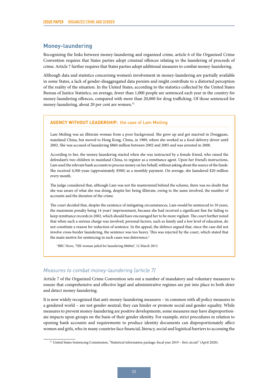#### <span id="page-27-0"></span>**Money-laundering**

Recognizing the links between money-laundering and organized crime, article 6 of the Organized Crime Convention requires that States parties adopt criminal offences relating to the laundering of proceeds of crime. Article 7 further requires that States parties adopt additional measures to combat money-laundering.

Although data and statistics concerning women's involvement in money-laundering are partially available in some States, a lack of gender-disaggregated data persists and might contribute to a distorted perception of the reality of the situation. In the United States, according to the statistics collected by the United States Bureau of Justice Statistics, on average, fewer than 1,000 people are sentenced each year in the country for money-laundering offences, compared with more than 20,000 for drug trafficking. Of those sentenced for money-laundering, about 20 per cent are women.<sup>31</sup>

#### **AGENCY WITHOUT LEADERSHIP:** the case of Lam Meiling

Lam Meiling was an illiterate woman from a poor background. She grew up and got married in Dongguan, mainland China, but moved to Hong Kong, China, in 1989, where she worked as a food delivery driver until 2002. She was accused of laundering \$860 million between 2002 and 2005 and was arrested in 2008.

According to her, the money-laundering started when she was instructed by a female friend, who raised the defendant's two children in mainland China, to register as a remittance agent. Upon her friend's instructions, Lam used the relevant bank accounts to process money on her behalf, without asking about the source of the funds. She received 4,500 yuan (approximately \$500) as a monthly payment. On average, she laundered \$20 million every month.

The judge considered that, although Lam was not the mastermind behind the scheme, there was no doubt that she was aware of what she was doing, despite her being illiterate, owing to the sums involved, the number of accounts and the duration of the crime.

The court decided that, despite the existence of mitigating circumstances, Lam would be sentenced to 10 years, the maximum penalty being 14 years' imprisonment, because she had received a significant fine for failing to keep remittance records in 2002, which should have encouraged her to be more vigilant. The court further noted that when such a serious charge was involved, personal factors, such as family and a low level of education, do not constitute a reason for reduction of sentence. In the appeal, the defence argued that, since the case did not involve cross-border laundering, the sentence was too heavy. This was rejected by the court, which stated that the main motive for sentencing in such cases was deterrence.<sup>a</sup>

a BBC News, "HK woman jailed for laundering \$860m", 12 March 2013.

#### *Measures to combat money-laundering (article 7)*

Article 7 of the Organized Crime Convention sets out a number of mandatory and voluntary measures to ensure that comprehensive and effective legal and administrative regimes are put into place to both deter and detect money-laundering.

It is now widely recognized that anti-money-laundering measures – in common with all policy measures in a gendered world – are not gender-neutral; they can hinder or promote social and gender equality. While measures to prevent money-laundering are positive developments, some measures may have disproportionate impacts upon groups on the basis of their gender identity. For example, strict procedures in relation to opening bank accounts and requirements to produce identity documents can disproportionately affect women and girls, who in many countries face financial, literacy, social and logistical barriers to accessing the

<sup>31</sup> United States Sentencing Commission, "Statistical information package: fiscal year 2019 – first circuit" (April 2020).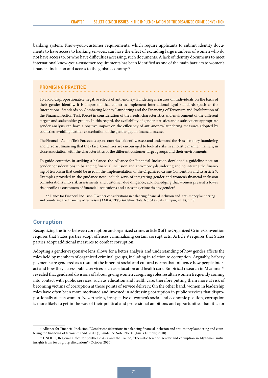<span id="page-28-0"></span>banking system. Know-your-customer requirements, which require applicants to submit identity documents to have access to banking services, can have the effect of excluding large numbers of women who do not have access to, or who have difficulties accessing, such documents. A lack of identity documents to meet international know-your-customer requirements has been identified as one of the main barriers to women's financial inclusion and access to the global economy.32

#### **PROMISING PRACTICE**

To avoid disproportionately negative effects of anti-money-laundering measures on individuals on the basis of their gender identity, it is important that countries implement international legal standards (such as the International Standards on Combating Money Laundering and the Financing of Terrorism and Proliferation of the Financial Action Task Force) in consideration of the needs, characteristics and environment of the different targets and stakeholder groups. In this regard, the availability of gender statistics and a subsequent appropriate gender analysis can have a positive impact on the efficiency of anti-money-laundering measures adopted by countries, avoiding further exacerbation of the gender gap in financial access.

The Financial Action Task Force calls upon countries to identify, assess and understand the risks of money-laundering and terrorist financing that they face. Countries are encouraged to look at risks in a holistic manner, namely, in close association with the characteristics of the different customer target groups and their environments.

To guide countries in striking a balance, the Alliance for Financial Inclusion developed a guideline note on gender considerations in balancing financial inclusion and anti-money-laundering and countering the financing of terrorism that could be used in the implementation of the Organized Crime Convention and its article 7. Examples provided in the guidance note include ways of integrating gender and women's financial inclusion considerations into risk assessments and customer due diligence, acknowledging that women present a lower risk profile as customers of financial institutions and assessing crime risk by gender.<sup>a</sup>

a Alliance for Financial Inclusion, "Gender considerations in balancing financial inclusion and anti-money laundering and countering the financing of terrorism (AML/CFT)", Guideline Note, No. 31 (Kuala Lumpur, 2018), p. 18.

#### **Corruption**

Recognizing the links between corruption and organized crime, article 8 of the Organized Crime Convention requires that States parties adopt offences criminalizing certain corrupt acts. Article 9 requires that States parties adopt additional measures to combat corruption.

Adopting a gender-responsive lens allows for a better analysis and understanding of how gender affects the roles held by members of organized criminal groups, including in relation to corruption. Arguably, bribery payments are gendered as a result of the inherent social and cultural norms that influence how people interact and how they access public services such as education and health care. Empirical research in Myanmar<sup>33</sup> revealed that gendered divisions of labour giving women caregiving roles result in women frequently coming into contact with public services, such as education and health care, therefore putting them more at risk of becoming victims of corruption at those points of service delivery. On the other hand, women in leadership roles have often been more motivated and invested in addressing corruption in public services that disproportionally affects women. Nevertheless, irrespective of women's social and economic position, corruption is more likely to get in the way of their political and professional ambitions and opportunities than it is for

<sup>&</sup>lt;sup>32</sup> Alliance for Financial Inclusion, "Gender considerations in balancing financial inclusion and anti-money laundering and countering the financing of terrorism (AML/CFT)", Guideline Note, No. 31 (Kuala Lumpur, 2018).

<sup>33</sup> UNODC, Regional Office for Southeast Asia and the Pacific, "Thematic brief on gender and corruption in Myanmar: initial insights from focus group discussions" (October 2020).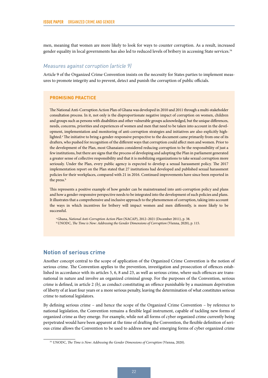<span id="page-29-0"></span>men, meaning that women are more likely to look for ways to counter corruption. As a result, increased gender equality in local governments has also led to reduced levels of bribery in accessing State services.<sup>34</sup>

#### *Measures against corruption (article 9)*

Article 9 of the Organized Crime Convention insists on the necessity for States parties to implement measures to promote integrity and to prevent, detect and punish the corruption of public officials.

#### **PROMISING PRACTICE**

The National Anti-Corruption Action Plan of Ghana was developed in 2010 and 2011 through a multi-stakeholder consultation process. In it, not only is the disproportionate negative impact of corruption on women, children and groups such as persons with disabilities and other vulnerable groups acknowledged, but the unique differences, needs, concerns, priorities and experiences of women and men that need to be taken into account in the development, implementation and monitoring of anti-corruption strategies and initiatives are also explicitly highlighted.<sup>ª</sup> The initiative to bring a gender-responsive perspective to the document came primarily from one of its drafters, who pushed for recognition of the different ways that corruption could affect men and women. Prior to the development of the Plan, most Ghanaians considered reducing corruption to be the responsibility of just a few institutions, but there are signs that the process of developing and adopting the Plan in parliament generated a greater sense of collective responsibility and that it is mobilizing organizations to take sexual corruption more seriously. Under the Plan, every public agency is expected to develop a sexual harassment policy. The 2017 implementation report on the Plan stated that 27 institutions had developed and published sexual harassment policies for their workplaces, compared with 21 in 2016. Continued improvements have since been reported in the press.<sup>b</sup>

This represents a positive example of how gender can be mainstreamed into anti-corruption policy and plans and how a gender-responsive perspective needs to be integrated into the development of such policies and plans. It illustrates that a comprehensive and inclusive approach to the phenomenon of corruption, taking into account the ways in which incentives for bribery will impact women and men differently, is more likely to be successful.

a Ghana, *National Anti-Corruption Action Plan* (NACAP), 2012–2021 (December 2011), p. 38. **b UNODC**, *The Time is Now: Addressing the Gender Dimensions of Corruption* (Vienna, 2020), p. 115.

#### **Notion of serious crime**

Another concept central to the scope of application of the Organized Crime Convention is the notion of serious crime. The Convention applies to the prevention, investigation and prosecution of offences established in accordance with its articles 5, 6, 8 and 23, as well as serious crime, where such offences are transnational in nature and involve an organized criminal group. For the purposes of the Convention, serious crime is defined, in article 2 *(b)*, as conduct constituting an offence punishable by a maximum deprivation of liberty of at least four years or a more serious penalty, leaving the determination of what constitutes serious crime to national legislators.

By defining serious crime – and hence the scope of the Organized Crime Convention – by reference to national legislation, the Convention remains a flexible legal instrument, capable of tackling new forms of organized crime as they emerge. For example, while not all forms of cyber organized crime currently being perpetrated would have been apparent at the time of drafting the Convention, the flexible definition of serious crime allows the Convention to be used to address new and emerging forms of cyber organized crime

<sup>34</sup> UNODC, *The Time is Now: Addressing the Gender Dimensions of Corruption* (Vienna, 2020).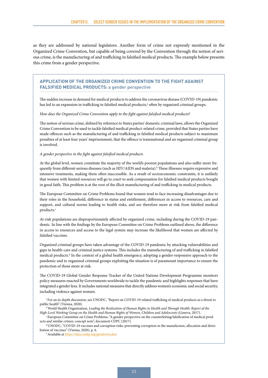as they are addressed by national legislators. Another form of crime not expressly mentioned in the Organized Crime Convention, but capable of being covered by the Convention through the notion of serious crime, is the manufacturing of and trafficking in falsified medical products. The example below presents this crime from a gender perspective.

#### **APPLICATION OF THE ORGANIZED CRIME CONVENTION TO THE FIGHT AGAINST FALSIFIED MEDICAL PRODUCTS:** a gender perspective

The sudden increase in demand for medical products to address the coronavirus disease (COVID-19) pandemic has led to an expansion in trafficking in falsified medical products,ª often by organized criminal groups.

*How does the Organized Crime Convention apply to the fight against falsified medical products?* 

The notion of serious crime, defined by reference to States parties' domestic criminal laws, allows the Organized Crime Convention to be used to tackle falsified medical product-related crime, provided that States parties have made offences such as the manufacturing of and trafficking in falsified medical products subject to maximum penalties of at least four years' imprisonment, that the offence is transnational and an organized criminal group is involved.

#### *A gender perspective in the fight against falsified medical products*

At the global level, women constitute the majority of the world's poorest populations and also suffer more frequently from different serious diseases (such as HIV/AIDS and malaria).<sup>b</sup> These illnesses require expensive and intensive treatments, making them often inaccessible. As a result of socioeconomic constraints, it is unlikely that women with limited resources will go to court to seek compensation for falsified medical products bought in good faith. This problem is at the root of the illicit manufacturing of and trafficking in medical products.

The European Committee on Crime Problems found that women tend to face increasing disadvantages due to their roles in the household, difference in status and entitlement, differences in access to resources, care and support, and cultural norms leading to health risks, and are therefore more at risk from falsified medical products.<sup>c</sup>

At-risk populations are disproportionately affected by organized crime, including during the COVID-19 pandemic. In line with the findings by the European Committee on Crime Problems outlined above, the difference in access to resources and access to the legal system may increase the likelihood that women are affected by falsified vaccines.

Organized criminal groups have taken advantage of the COVID-19 pandemic by attacking vulnerabilities and gaps in health-care and criminal justice systems. This includes the manufacturing of and trafficking in falsified medical products.<sup>d</sup> In the context of a global health emergency, adopting a gender-responsive approach to the pandemic and to organized criminal groups exploiting the situation is of paramount importance to ensure the protection of those more at risk.

The COVID-19 Global Gender Response Tracker of the United Nations Development Programme monitors policy measures enacted by Governments worldwide to tackle the pandemic and highlights responses that have integrated a gender lens. It includes national measures that directly address women's economic and social security, including violence against women.

a For an in-depth discussion, see UNODC, "Report on COVID-19-related trafficking of medical products as a threat to public health" (Vienna, 2020).

b World Health Organization, *Leading the Realization of Human Rights to Health and Through Health: Report of the* 

<sup>c</sup> European Committee on Crime Problems, "A gender perspective on the counterfeiting/falsification of medical products and similar crimes: concept note", document CDPC (2017).

d UNODC, "COVID-19 vaccines and corruption risks: preventing corruption in the manufacture, allocation and distribution of vaccines" (Vienna, 2020), p. 6.

e Available at [https://data.undp.org/gendertracker.](https://data.undp.org/gendertracker/)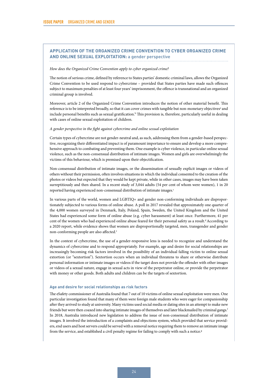#### **APPLICATION OF THE ORGANIZED CRIME CONVENTION TO CYBER ORGANIZED CRIME AND ONLINE SEXUAL EXPLOITATION:** a gender perspective

#### *How does the Organized Crime Convention apply to cyber organized crime?*

The notion of serious crime, defined by reference to States parties' domestic criminal laws, allows the Organized Crime Convention to be used respond to cybercrime – provided that States parties have made such offences subject to maximum penalties of at least four years' imprisonment, the offence is transnational and an organized criminal group is involved.

Moreover, article 2 of the Organized Crime Convention introduces the notion of other material benefit. This reference is to be interpreted broadly, so that it can cover crimes with tangible but non-monetary objectives<sup>a</sup> and include personal benefits such as sexual gratification.<sup>b</sup> This provision is, therefore, particularly useful in dealing with cases of online sexual exploitation of children.

#### *A gender perspective in the fight against cybercrime and online sexual exploitation*

Certain types of cybercrime are not gender-neutral and, as such, addressing them from a gender-based perspective, recognizing their differentiated impact is of paramount importance to ensure and develop a more comprehensive approach to combating and preventing them. One example is cyber violence, in particular online sexual violence, such as the non-consensual distribution of intimate images. Women and girls are overwhelmingly the victims of this behaviour, which is premised upon their objectification.

Non-consensual distribution of intimate images, or the dissemination of sexually explicit images or videos of others without their permission, often involves situations in which the individual consented to the creation of the photos or videos but expected that they would be kept private, while in other cases, images may have been taken surreptitiously and then shared. In a recent study of 3,044 adults (54 per cent of whom were women), 1 in 20 reported having experienced non-consensual distribution of intimate images.<sup>c</sup>

In various parts of the world, women and LGBTIQ+ and gender non-conforming individuals are disproportionately subjected to various forms of online abuse. A poll in 2017 revealed that approximately one quarter of the 4,000 women surveyed in Denmark, Italy, Poland, Spain, Sweden, the United Kingdom and the United States had experienced some form of online abuse (e.g. cyber harassment) at least once. Furthermore, 41 per cent of the women who had experienced online abuse feared for their personal safety as a result.<sup>d</sup> According to a 2020 report, while evidence shows that women are disproportionally targeted, men, transgender and gender non-conforming people are also affected.<sup>e</sup>

In the context of cybercrime, the use of a gender-responsive lens is needed to recognize and understand the dynamics of cybercrime and to respond appropriately. For example, age and desire for social relationships are increasingly becoming risk factors involved in the possibility of an individual falling victim to online sexual extortion (or "sextortion"). Sextortion occurs when an individual threatens to share or otherwise distribute personal information or intimate images or videos if the target does not provide the offender with other images or videos of a sexual nature, engage in sexual acts in view of the perpetrator online, or provide the perpetrator with money or other goods. Both adults and children can be the targets of sextortion.

#### **Age and desire for social relationships as risk factors**

The eSafety commissioner of Australia found that 7 out of 10 victims of online sexual exploitation were men. One particular investigation found that many of them were foreign male students who were eager for companionship after they arrived to study at university. Many victims used social media or dating sites in an attempt to make new friends but were then coaxed into sharing intimate images of themselves and later blackmailed by criminal gangs.<sup>f</sup> In 2018, Australia introduced new legislation to address the issue of non-consensual distribution of intimate images. It involved the introduction of a complaints and objections system, which provided that service providers, end users and host servers could be served with a removal notice requiring them to remove an intimate image from the service, and established a civil penalty regime for failing to comply with such a notice.<sup>g</sup>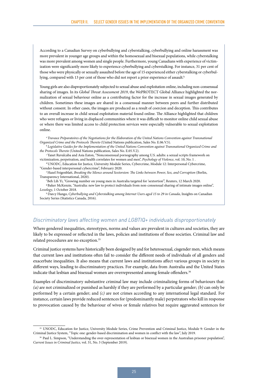According to a Canadian Survey on cyberbullying and cyberstalking, cyberbullying and online harassment was more prevalent in younger age groups and within the homosexual and bisexual populations, while cyberstalking was more prevalent among women and single people. Furthermore, young Canadians with experience of victimization were significantly more likely to experience cyberbullying and cyberstalking. For instance, 31 per cent of those who were physically or sexually assaulted before the age of 15 experienced either cyberstalking or cyberbullying, compared with 13 per cent of those who did not report a prior experience of assault.<sup>h</sup>

Young girls are also disproportionately subjected to sexual abuse and exploitation online, including non-consensual sharing of images. In its *Global Threat Assessment 2019*, the WePROTECT Global Alliance highlighted the normalization of sexual behaviour online as a contributing factor for the increase in sexual images generated by children. Sometimes these images are shared in a consensual manner between peers and further distributed without consent. In other cases, the images are produced as a result of coercion and deception. This contributes to an overall increase in child sexual exploitation material found online. The Alliance highlighted that children who were refugees or living in displaced communities where it was difficult to monitor online child sexual abuse or where there was limited access to child protection services were especially vulnerable to sexual exploitation online.

<sup>a</sup>*Travaux Préparatoires of the Negotiations for the Elaboration of the United Nations Convention against Transnational Organized Crime and the Protocols Thereto* (United Nations publication, Sales No. E.06.V.5).

- <sup>b</sup>*Legislative Guides for the Implementation of the United Nations Convention against Transnational Organized Crime and the Protocols Thereto* (United Nations publication, Sales No. E.05.V.2).
- c Yanet Ruvalcaba and Asia Eaton, "Nonconsensual pornography among U.S. adults: a sexual scripts framework on victimization, perpetration, and health correlates for women and men", *Psychology of Violence*, vol. 10, No. 1 .
- d UNODC, Education for Justice, University Module Series, Cybercrime, Module 12: Interpersonal Cybercrime, "Gender-based interpersonal cybercrime", February 2020.
- e Hazel Feigenblatt, *Breaking the Silence around Sextorsion: The Links between Power, Sex, and Corruption* (Berlin, Transparency International, 2020).

f Beh Lih Yi, "Growing number on young men in Australia targeted for 'sextortion'", Reuters, 12 March 2020. g Baker McKenzie, "Australia: new law to protect individuals from non-consensual sharing of intimate images online", *Lexology*, 1 October 2018.

h Darcy Hango, *Cyberbullying and Cyberstalking among Internet Users aged 15 to 29 in Canada*, Insights on Canadian Society Series (Statistics Canada, 2016).

#### *Discriminatory laws affecting women and LGBTIQ+ individuals disproportionately*

Where gendered inequalities, stereotypes, norms and values are prevalent in cultures and societies, they are likely to be expressed or reflected in the laws, policies and institutions of those societies. Criminal law and related procedures are no exception.35

Criminal justice systems have historically been designed by and for heterosexual, cisgender men, which means that current laws and institutions often fail to consider the different needs of individuals of all genders and exacerbate inequalities. It also means that current laws and institutions affect various groups in society in different ways, leading to discriminatory practices. For example, data from Australia and the United States indicate that lesbian and bisexual women are overrepresented among female offenders.<sup>36</sup>

Examples of discriminatory substantive criminal law may include criminalizing forms of behaviours that: *(a)* are not criminalized or punished as harshly if they are performed by a particular gender; *(b)* can only be performed by a certain gender; and *(c)* are not crimes according to any international legal standard. For instance, certain laws provide reduced sentences for (predominantly male) perpetrators who kill in response to provocation caused by the behaviour of wives or female relatives but require aggravated sentences for

<sup>35</sup> UNODC, Education for Justice, University Module Series, Crime Prevention and Criminal Justice, Module 9: Gender in the Criminal Justice System, "Topic one: gender-based discrimination and women in conflict with the law", July 2019.

<sup>36</sup> Paul L. Simpson, "Understanding the over-representation of lesbian or bisexual women in the Australian prisoner population", *Current Issues in Criminal Justice*, vol. 31, No. 3 (September 2019).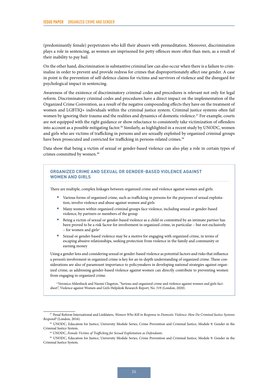(predominantly female) perpetrators who kill their abusers with premeditation. Moreover, discrimination plays a role in sentencing, as women are imprisoned for petty offences more often than men, as a result of their inability to pay bail.

On the other hand, discrimination in substantive criminal law can also occur when there is a failure to criminalize in order to prevent and provide redress for crimes that disproportionately affect one gender. A case in point is the prevention of self-defence claims for victims and survivors of violence and the disregard for psychological impact in sentencing.

Awareness of the existence of discriminatory criminal codes and procedures is relevant not only for legal reform. Discriminatory criminal codes and procedures have a direct impact on the implementation of the Organized Crime Convention, as a result of the negative compounding effects they have on the treatment of women and LGBTIQ+ individuals within the criminal justice system. Criminal justice systems often fail women by ignoring their trauma and the realities and dynamics of domestic violence.<sup>37</sup> For example, courts are not equipped with the right guidance or show reluctance to consistently take victimization of offenders into account as a possible mitigating factor.<sup>38</sup> Similarly, as highlighted in a recent study by UNODC, women and girls who are victims of trafficking in persons and are sexually exploited by organized criminal groups have been prosecuted and convicted for trafficking in persons-related crimes.<sup>39</sup>

Data show that being a victim of sexual or gender-based violence can also play a role in certain types of crimes committed by women.<sup>40</sup>



<sup>37</sup> Penal Reform International and Linklaters, *Women Who Kill in Response to Domestic Violence: How Do Criminal Justice Systems Respond?* (London, 2016).

<sup>38</sup> UNODC, Education for Justice, University Module Series, Crime Prevention and Criminal Justice, Module 9: Gender in the Criminal Justice System.

<sup>39</sup> UNODC, *Female Victims of Trafficking for Sexual Exploitation as Defendants*.

<sup>40</sup> UNODC, Education for Justice, University Module Series, Crime Prevention and Criminal Justice, Module 9: Gender in the Criminal Justice System.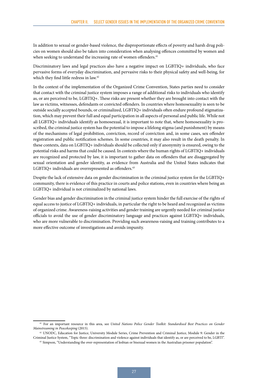In addition to sexual or gender-based violence, the disproportionate effects of poverty and harsh drug policies on women should also be taken into consideration when analysing offences committed by women and when seeking to understand the increasing rate of women offenders.<sup>41</sup>

Discriminatory laws and legal practices also have a negative impact on LGBTIQ+ individuals, who face pervasive forms of everyday discrimination, and pervasive risks to their physical safety and well-being, for which they find little redress in law.<sup>42</sup>

In the context of the implementation of the Organized Crime Convention, States parties need to consider that contact with the criminal justice system imposes a range of additional risks to individuals who identify as, or are perceived to be, LGBTIQ+. These risks are present whether they are brought into contact with the law as victims, witnesses, defendants or convicted offenders. In countries where homosexuality is seen to be outside socially accepted bounds, or criminalized, LGBTIQ+ individuals often endure profound stigmatization, which may prevent their full and equal participation in all aspects of personal and public life. While not all LGBTIQ+ individuals identify as homosexual, it is important to note that, where homosexuality is proscribed, the criminal justice system has the potential to impose a lifelong stigma (and punishment) by means of the mechanisms of legal prohibition, conviction, record of conviction and, in some cases, sex offender registration and public notification schemes. In some countries, it may also result in the death penalty. In these contexts, data on LGBTIQ+ individuals should be collected only if anonymity is ensured, owing to the potential risks and harms that could be caused. In contexts where the human rights of LGBTIQ+ individuals are recognized and protected by law, it is important to gather data on offenders that are disaggregated by sexual orientation and gender identity, as evidence from Australia and the United States indicates that LGBTIQ+ individuals are overrepresented as offenders.<sup>43</sup>

Despite the lack of extensive data on gender discrimination in the criminal justice system for the LGBTIQ+ community, there is evidence of this practice in courts and police stations, even in countries where being an LGBTIQ+ individual is not criminalized by national laws.

Gender bias and gender discrimination in the criminal justice system hinder the full exercise of the rights of equal access to justice of LGBTIQ+ individuals, in particular the right to be heard and recognized as victims of organized crime. Awareness-raising activities and gender training are urgently needed for criminal justice officials to avoid the use of gender discriminatory language and practices against LGBTIQ+ individuals, who are more vulnerable to discrimination. Providing such awareness-raising and training contributes to a more effective outcome of investigations and avoids impunity.

<sup>41</sup> For an important resource in this area, see *United Nations Police Gender Toolkit: Standardised Best Practices on Gender Mainstreaming in Peacekeeping* (2015).

<sup>42</sup> UNODC, Education for Justice, University Module Series, Crime Prevention and Criminal Justice, Module 9: Gender in the Criminal Justice System, "Topic three: discrimination and violence against individuals that identify as, or are perceived to be, LGBTI".

<sup>43</sup> Simpson, "Understanding the over-representation of lesbian or bisexual women in the Australian prisoner population".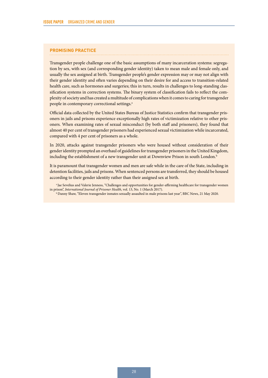#### **PROMISING PRACTICE**

Transgender people challenge one of the basic assumptions of many incarceration systems: segregation by sex, with sex (and corresponding gender identity) taken to mean male and female only, and usually the sex assigned at birth. Transgender people's gender expression may or may not align with their gender identity and often varies depending on their desire for and access to transition-related health care, such as hormones and surgeries; this in turn, results in challenges to long-standing classification systems in correction systems. The binary system of classification fails to reflect the complexity of society and has created a multitude of complications when it comes to caring for transgender people in contemporary correctional settings.<sup>a</sup>

Official data collected by the United States Bureau of Justice Statistics confirm that transgender prisoners in jails and prisons experience exceptionally high rates of victimization relative to other prisoners. When examining rates of sexual misconduct (by both staff and prisoners), they found that almost 40 per cent of transgender prisoners had experienced sexual victimization while incarcerated, compared with 4 per cent of prisoners as a whole.

In 2020, attacks against transgender prisoners who were housed without consideration of their gender identity prompted an overhaul of guidelines for transgender prisoners in the United Kingdom, including the establishment of a new transgender unit at Downview Prison in south London.<sup>b</sup>

It is paramount that transgender women and men are safe while in the care of the State, including in detention facilities, jails and prisons. When sentenced persons are transferred, they should be housed according to their gender identity rather than their assigned sex at birth.

<sup>a</sup> Jae Sevelius and Valerie Jenness, "Challenges and opportunities for gender-affirming healthcare for transgender women in prison", *International Journal of Prisoner Health*, vol. 13, No. 1 (March 2017).

b Danny Shaw, "Eleven transgender inmates sexually assaulted in male prisons last year", BBC News, 21 May 2020.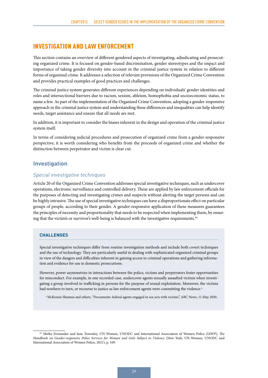#### <span id="page-36-0"></span>INVESTIGATION AND LAW ENFORCEMENT

This section contains an overview of different gendered aspects of investigating, adjudicating and prosecuting organized crime. It is focused on gender-based discrimination, gender stereotypes and the impact and importance of taking gender diversity into account in the criminal justice system in relation to different forms of organized crime. It addresses a selection of relevant provisions of the Organized Crime Convention and provides practical examples of good practices and challenges.

The criminal justice system generates different experiences depending on individuals' gender identities and roles and intersectional barriers due to racism, sexism, ableism, homophobia and socioeconomic status, to name a few. As part of the implementation of the Organized Crime Convention, adopting a gender-responsive approach in the criminal justice system and understanding these differences and inequalities can help identify needs, target assistance and ensure that all needs are met.

In addition, it is important to consider the biases inherent in the design and operation of the criminal justice system itself.

In terms of considering judicial procedures and prosecution of organized crime from a gender-responsive perspective, it is worth considering who benefits from the proceeds of organized crime and whether the distinction between perpetrator and victim is clear cut.

#### **Investigation**

#### *Special investigative techniques*

Article 20 of the Organized Crime Convention addresses special investigative techniques, such as undercover operations, electronic surveillance and controlled delivery. These are applied by law enforcement officials for the purposes of detecting and investigating crimes and suspects without alerting the target persons and can be highly intrusive. The use of special investigative techniques can have a disproportionate effect on particular groups of people, according to their gender. A gender-responsive application of these measures guarantees the principles of necessity and proportionality that needs to be respected when implementing them, by ensuring that the victim's or survivor's well-being is balanced with the investigative requirements.<sup>44</sup>

#### **CHALLENGES**

Special investigative techniques differ from routine investigation methods and include both covert techniques and the use of technology. They are particularly useful in dealing with sophisticated organized criminal groups in view of the dangers and difficulties inherent in gaining access to criminal operations and gathering information and evidence for use in domestic prosecutions.

However, power asymmetries in interactions between the police, victims and perpetrators foster opportunities for misconduct. For example, in one recorded case, undercover agents sexually assaulted victims when investigating a group involved in trafficking in persons for the purpose of sexual exploitation. Moreover, the victims had nowhere to turn, or recourse to justice as law enforcement agents were committing the violence.<sup>a</sup>

a McKenzie Shuman and others, "Documents: federal agents engaged in sex acts with victims", ABC News, 11 May 2020.

<sup>44</sup> Mirko Fernandez and Jane Townsley, UN-Women, UNODC and International Association of Women Police (IAWP), *The Handbook on Gender-responsive Police Services for Women and Girls Subject to Violence* (New York, UN-Women, UNODC and International Association of Women Police, 2021), p. 109.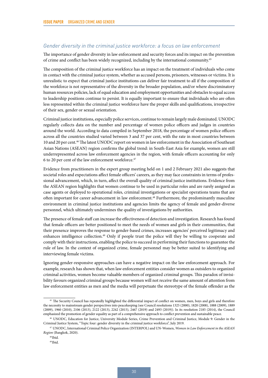#### *Gender diversity in the criminal justice workforce: a focus on law enforcement*

The importance of gender diversity in law enforcement and security forces and its impact on the prevention of crime and conflict has been widely recognized, including by the international community.45

The composition of the criminal justice workforce has an impact on the treatment of individuals who come in contact with the criminal justice system, whether as accused persons, prisoners, witnesses or victims. It is unrealistic to expect that criminal justice institutions can deliver fair treatment to all if the composition of the workforce is not representative of the diversity in the broader population, and/or where discriminatory human resources policies, lack of equal education and employment opportunities and obstacles to equal access to leadership positions continue to persist. It is equally important to ensure that individuals who are often less represented within the criminal justice workforce have the proper skills and qualifications, irrespective of their sex, gender or sexual orientation.

Criminal justice institutions, especially police services, continue to remain largely male dominated. UNODC regularly collects data on the number and percentage of women police officers and judges in countries around the world. According to data compiled in September 2018, the percentage of women police officers across all the countries studied varied between 3 and 37 per cent, with the rate in most countries between 10 and 20 per cent.46 The latest UNODC report on women in law enforcement in the Association of Southeast Asian Nations (ASEAN) region confirms the global trend: in South-East Asia for example, women are still underrepresented across law enforcement agencies in the region, with female officers accounting for only 6 to 20 per cent of the law enforcement workforce.47

Evidence from practitioners in the expert group meeting held on 1 and 2 February 2021 also suggests that societal roles and expectations affect female officers' careers, as they may face constraints in terms of professional advancement, which, in turn, affect the overall quality of criminal justice institutions. Evidence from the ASEAN region highlights that women continue to be used in particular roles and are rarely assigned as case agents or deployed to operational roles, criminal investigations or specialist operations teams that are often important for career advancement in law enforcement.<sup>48</sup> Furthermore, the predominantly masculine environment in criminal justice institutions and agencies limits the agency of female and gender-diverse personnel, which ultimately undermines the quality of investigations by authorities.

The presence of female staff can increase the effectiveness of detection and investigation. Research has found that female officers are better positioned to meet the needs of women and girls in their communities, that their presence improves the response to gender-based crimes, increases agencies' perceived legitimacy and enhances intelligence collection.<sup>49</sup> Only if people trust the police will they be willing to cooperate and comply with their instructions, enabling the police to succeed in performing their functions to guarantee the rule of law. In the context of organized crime, female personnel may be better suited to identifying and interviewing female victims.

Ignoring gender-responsive approaches can have a negative impact on the law enforcement approach. For example, research has shown that, when law enforcement entities consider women as outsiders to organized criminal activities, women become valuable members of organized criminal groups. This paradox of invisibility favours organized criminal groups because women will not receive the same amount of attention from law enforcement entities as men and the media will perpetuate the stereotype of the female offender as the

<sup>&</sup>lt;sup>45</sup> The Security Council has repeatedly highlighted the differential impact of conflict on women, men, boys and girls and therefore the necessity to mainstream gender perspectives into peacekeeping (see Council resolutions 1325 (2000), 1820 (2008), 1888 (2009), 1889 (2009), 1960 (2010), 2106 (2013), 2122 (2013), 2242 (2015), 2467 (2019) and 2493 (2019)). In its resolution 2185 (2014), the Council emphasized the promotion of gender equality as part of a comprehensive approach to conflict prevention and sustainable peace.

<sup>46</sup> UNODC, Education for Justice, University Module Series, Crime Prevention and Criminal Justice, Module 9: Gender in the Criminal Justice System, "Topic four: gender diversity in the criminal justice workforce", July 2019.

<sup>47</sup> UNODC, International Criminal Police Organization (INTERPOL) and UN-Women, *Women in Law Enforcement in the ASEAN Region* (Bangkok, 2020).

<sup>48</sup> Ibid.

<sup>49</sup> Ibid.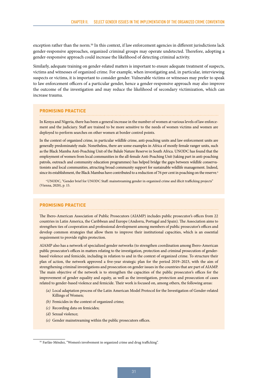exception rather than the norm.<sup>50</sup> In this context, if law enforcement agencies in different jurisdictions lack gender-responsive approaches, organized criminal groups may operate undetected. Therefore, adopting a gender-responsive approach could increase the likelihood of detecting criminal activity.

Similarly, adequate training on gender-related matters is important to ensure adequate treatment of suspects, victims and witnesses of organized crime. For example, when investigating and, in particular, interviewing suspects or victims, it is important to consider gender. Vulnerable victims or witnesses may prefer to speak to law enforcement officers of a particular gender, hence a gender-responsive approach may also improve the outcome of the investigation and may reduce the likelihood of secondary victimization, which can increase trauma.

#### **PROMISING PRACTICE**

In Kenya and Nigeria, there has been a general increase in the number of women at various levels of law enforcement and the judiciary. Staff are trained to be more sensitive to the needs of women victims and women are deployed to perform searches on other women at border control points.

In the context of organized crime, in particular wildlife crime, anti-poaching units and law enforcement units are generally predominately male. Nonetheless, there are some examples in Africa of mostly female ranger units, such as the Black Mamba Anti-Poaching Unit of the Balule Nature Reserve in South Africa. UNODC has found that the employment of women from local communities in the all-female Anti-Poaching Unit (taking part in anti-poaching patrols, outreach and community education programmes) has helped bridge the gaps between wildlife conservationists and local communities, attracting broad community support for sustainable wildlife management. Indeed, since its establishment, the Black Mambas have contributed to a reduction of 76 per cent in poaching on the reserve.<sup>a</sup>

a UNODC, "Gender brief for UNODC Staff: mainstreaming gender in organized crime and illicit trafficking projects" (Vienna, 2020), p. 15.

#### **PROMISING PRACTICE**

The Ibero-American Association of Public Prosecutors (AIAMP) includes public prosecutor's offices from 22 countries in Latin America, the Caribbean and Europe (Andorra, Portugal and Spain). The Association aims to strengthen ties of cooperation and professional development among members of public prosecutor's offices and develop common strategies that allow them to improve their institutional capacities, which is an essential requirement to provide rights protection.

AIAMP also has a network of specialized gender networks (to strengthen coordination among Ibero-American public prosecutor's offices in matters relating to the investigation, protection and criminal prosecution of genderbased violence and femicide, including in relation to and in the context of organized crime. To structure their plan of action, the network approved a five-year strategic plan for the period 2019–2023, with the aim of strengthening criminal investigations and prosecution on gender issues in the countries that are part of AIAMP. The main objective of the network is to strengthen the capacities of the public prosecutor's offices for the improvement of gender equality and equity, as well as the investigation, protection and prosecution of cases related to gender-based violence and femicide. Their work is focused on, among others, the following areas:

- *(a)* Local adaptation process of the Latin American Model Protocol for the Investigation of Gender-related Killings of Women;
- *(b)* Femicides in the context of organized crime;
- *(c)* Recording data on femicides;
- *(d)* Sexual violence;
- *(e)* Gender mainstreaming within the public prosecutors offices.

<sup>&</sup>lt;sup>50</sup> Farfán-Méndez, "Women's involvement in organized crime and drug trafficking".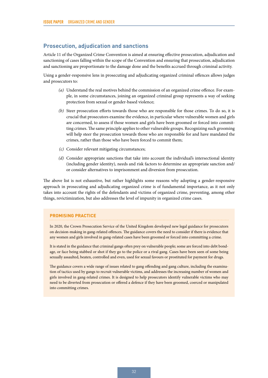#### <span id="page-39-0"></span>**Prosecution, adjudication and sanctions**

Article 11 of the Organized Crime Convention is aimed at ensuring effective prosecution, adjudication and sanctioning of cases falling within the scope of the Convention and ensuring that prosecution, adjudication and sanctioning are proportionate to the damage done and the benefits accrued through criminal activity.

Using a gender-responsive lens in prosecuting and adjudicating organized criminal offences allows judges and prosecutors to:

- *(a)* Understand the real motives behind the commission of an organized crime offence. For example, in some circumstances, joining an organized criminal group represents a way of seeking protection from sexual or gender-based violence;
- *(b)* Steer prosecution efforts towards those who are responsible for those crimes. To do so, it is crucial that prosecutors examine the evidence, in particular where vulnerable women and girls are concerned, to assess if those women and girls have been groomed or forced into committing crimes. The same principle applies to other vulnerable groups. Recognizing such grooming will help steer the prosecution towards those who are responsible for and have mandated the crimes, rather than those who have been forced to commit them;
- *(c)* Consider relevant mitigating circumstances;
- *(d)* Consider appropriate sanctions that take into account the individual's intersectional identity (including gender identity), needs and risk factors to determine an appropriate sanction and/ or consider alternatives to imprisonment and diversion from prosecution.

The above list is not exhaustive, but rather highlights some reasons why adopting a gender-responsive approach in prosecuting and adjudicating organized crime is of fundamental importance, as it not only takes into account the rights of the defendants and victims of organized crime, preventing, among other things, revictimization, but also addresses the level of impunity in organized crime cases.

#### **PROMISING PRACTICE**

In 2020, the Crown Prosecution Service of the United Kingdom developed new legal guidance for prosecutors on decision-making in gang-related offences. The guidance covers the need to consider if there is evidence that any women and girls involved in gang-related cases have been groomed or forced into committing a crime.

It is stated in the guidance that criminal gangs often prey on vulnerable people; some are forced into debt bondage, or face being stabbed or shot if they go to the police or a rival gang. Cases have been seen of some being sexually assaulted, beaten, controlled and even, used for sexual favours or prostituted for payment for drugs.

The guidance covers a wide range of issues related to gang offending and gang culture, including the examination of tactics used by gangs to recruit vulnerable victims, and addresses the increasing number of women and girls involved in gang-related crimes. It is designed to help prosecutors identify vulnerable victims who may need to be diverted from prosecution or offered a defence if they have been groomed, coerced or manipulated into committing crimes.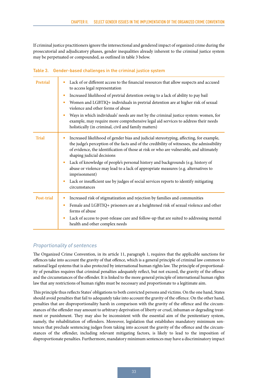If criminal justice practitioners ignore the intersectional and gendered impact of organized crime during the prosecutorial and adjudicatory phases, gender inequalities already inherent to the criminal justice system may be perpetuated or compounded, as outlined in table 3 below.

| Table 3. Gender-based challenges in the criminal justice system |  |  |  |
|-----------------------------------------------------------------|--|--|--|
|                                                                 |  |  |  |

| Pretrial     | Lack of or different access to the financial resources that allow suspects and accused<br>to access legal representation<br>Increased likelihood of pretrial detention owing to a lack of ability to pay bail<br>$\bullet$<br>Women and LGBTIQ+ individuals in pretrial detention are at higher risk of sexual<br>۰<br>violence and other forms of abuse<br>Ways in which individuals' needs are met by the criminal justice system: women, for<br>۰<br>example, may require more comprehensive legal aid services to address their needs<br>holistically (in criminal, civil and family matters)                    |
|--------------|----------------------------------------------------------------------------------------------------------------------------------------------------------------------------------------------------------------------------------------------------------------------------------------------------------------------------------------------------------------------------------------------------------------------------------------------------------------------------------------------------------------------------------------------------------------------------------------------------------------------|
| <b>Trial</b> | Increased likelihood of gender bias and judicial stereotyping, affecting, for example,<br>the judge's perception of the facts and of the credibility of witnesses, the admissibility<br>of evidence, the identification of those at risk or who are vulnerable, and ultimately<br>shaping judicial decisions<br>Lack of knowledge of people's personal history and backgrounds (e.g. history of<br>۰<br>abuse or violence may lead to a lack of appropriate measures (e.g. alternatives to<br>imprisonment)<br>Lack or insufficient use by judges of social services reports to identify mitigating<br>circumstances |
| Post-trial   | Increased risk of stigmatization and rejection by families and communities<br>٠<br>Female and LGBTIQ+ prisoners are at a heightened risk of sexual violence and other<br>۰<br>forms of abuse<br>Lack of access to post-release care and follow-up that are suited to addressing mental<br>٠<br>health and other complex needs                                                                                                                                                                                                                                                                                        |

#### *Proportionality of sentences*

The Organized Crime Convention, in its article 11, paragraph 1, requires that the applicable sanctions for offences take into account the gravity of that offence, which is a general principle of criminal law common to national legal systems that is also protected by international human rights law. The principle of proportionality of penalties requires that criminal penalties adequately reflect, but not exceed, the gravity of the offence and the circumstances of the offender. It is linked to the more general principle of international human rights law that any restrictions of human rights must be necessary and proportionate to a legitimate aim.

This principle thus reflects States' obligations to both convicted persons and victims. On the one hand, States should avoid penalties that fail to adequately take into account the gravity of the offence. On the other hand, penalties that are disproportionality harsh in comparison with the gravity of the offence and the circumstances of the offender may amount to arbitrary deprivation of liberty or cruel, inhuman or degrading treatment or punishment. They may also be inconsistent with the essential aim of the penitentiary system, namely, the rehabilitation of offenders. Moreover, legislation that establishes mandatory minimum sentences that preclude sentencing judges from taking into account the gravity of the offence and the circumstances of the offender, including relevant mitigating factors, is likely to lead to the imposition of disproportionate penalties. Furthermore, mandatory minimum sentences may have a discriminatory impact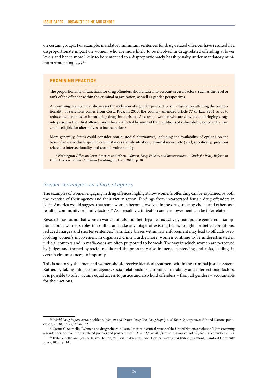on certain groups. For example, mandatory minimum sentences for drug-related offences have resulted in a disproportionate impact on women, who are more likely to be involved in drug-related offending at lower levels and hence more likely to be sentenced to a disproportionately harsh penalty under mandatory minimum sentencing laws.<sup>51</sup>

#### **PROMISING PRACTICE**

The proportionality of sanctions for drug offenders should take into account several factors, such as the level or rank of the offender within the criminal organization, as well as gender perspectives.

A promising example that showcases the inclusion of a gender perspective into legislation affecting the proportionality of sanctions comes from Costa Rica. In 2013, the country amended article 77 of Law 8204 so as to reduce the penalties for introducing drugs into prisons. As a result, women who are convicted of bringing drugs into prison as their first offence, and who are affected by some of the conditions of vulnerability noted in the law, can be eligible for alternatives to incarceration.<sup>a</sup>

More generally, States could consider non-custodial alternatives, including the availability of options on the basis of an individual's specific circumstances (family situation, criminal record, etc.) and, specifically, questions related to intersectionality and chronic vulnerability.

a Washington Office on Latin America and others, *Women, Drug Policies, and Incarceration: A Guide for Policy Reform in Latin America and the Caribbean* (Washington, D.C., 2015), p. 20.

#### *Gender stereotypes as a form of agency*

The examples of women engaging in drug offences highlight how women's offending can be explained by both the exercise of their agency and their victimization. Findings from incarcerated female drug offenders in Latin America would suggest that some women become involved in the drug trade by choice and others as a result of community or family factors.52 As a result, victimization and empowerment can be interrelated.

Research has found that women war criminals and their legal teams actively manipulate gendered assumptions about women's roles in conflict and take advantage of existing biases to fight for better conditions, reduced charges and shorter sentences.<sup>53</sup> Similarly, biases within law enforcement may lead to officials overlooking women's involvement in organized crime. Furthermore, women continue to be underestimated in judicial contexts and in mafia cases are often purported to be weak. The way in which women are perceived by judges and framed by social media and the press may also influence sentencing and risks, leading, in certain circumstances, to impunity.

This is not to say that men and women should receive identical treatment within the criminal justice system. Rather, by taking into account agency, social relationships, chronic vulnerability and intersectional factors, it is possible to offer victims equal access to justice and also hold offenders – from all genders – accountable for their actions.

<sup>51</sup> *World Drug Report 2018*, booklet 5, *Women and Drugs: Drug Use, Drug Supply and Their Consequences* (United Nations publication, 2018), pp. 27, 29 and 32.

<sup>52</sup> Corina Giacomello, "Women and drug policies in Latin America: a critical review of the United Nations resolution 'Mainstreaming a gender perspective in drug‐related policies and programmes'", *Howard Journal of Crime and Justice*, vol. 56, No. 3 (September 2017).

<sup>53</sup> Izabela Steflja and Jessica Trisko Darden, *Women as War Criminals: Gender, Agency and Justice* (Stamford, Stamford University Press, 2020), p. 14.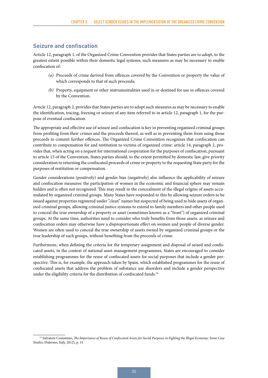#### <span id="page-42-0"></span>**Seizure and confiscation**

Article 12, paragraph 1, of the Organized Crime Convention provides that States parties are to adopt, to the greatest extent possible within their domestic legal systems, such measures as may be necessary to enable confiscation of:

- *(a)* Proceeds of crime derived from offences covered by the Convention or property the value of which corresponds to that of such proceeds;
- *(b)* Property, equipment or other instrumentalities used in or destined for use in offences covered by the Convention.

Article 12, paragraph 2, provides that States parties are to adopt such measures as may be necessary to enable the identification, tracing, freezing or seizure of any item referred to in article 12, paragraph 1, for the purpose of eventual confiscation.

The appropriate and effective use of seizure and confiscation is key in preventing organized criminal groups from profiting from their crimes and the proceeds thereof, as well as in preventing them from using those proceeds to commit further offences. The Organized Crime Convention recognizes that confiscation can contribute to compensation for and restitution to victims of organized crime: article 14, paragraph 2, provides that, when acting on a request for international cooperation for the purposes of confiscation, pursuant to article 13 of the Convention, States parties should, to the extent permitted by domestic law, give priority consideration to returning the confiscated proceeds of crime or property to the requesting State party for the purposes of restitution or compensation.

Gender considerations (positively) and gender bias (negatively) also influence the applicability of seizure and confiscation measures: the participation of women in the economic and financial sphere may remain hidden and is often not recognized. This may result in the concealment of the illegal origins of assets accumulated by organized criminal groups. Many States have responded to this by allowing seizure orders to be issued against properties registered under "clean" names but suspected of being used to hide assets of organized criminal groups, allowing criminal justice systems to extend to family members and other people used to conceal the true ownership of a property or asset (sometimes known as a "front") of organized criminal groups. At the same time, authorities need to consider who truly benefits from those assets, as seizure and confiscation orders may otherwise have a disproportionate effect on women and people of diverse gender. Women are often used to conceal the true ownership of assets owned by organized criminal groups or the true leadership of such groups, without benefiting from the proceeds of crime.

Furthermore, when defining the criteria for the temporary assignment and disposal of seized and confiscated assets, in the context of national asset management programmes, States are encouraged to consider establishing programmes for the reuse of confiscated assets for social purposes that include a gender perspective. This is, for example, the approach taken by Spain, which established programmes for the reuse of confiscated assets that address the problem of substance use disorders and include a gender perspective under the eligibility criteria for the distribution of confiscated funds.<sup>54</sup>

<sup>54</sup> Salvatore Costantino, *The Importance of Reuse of Confiscated Assets for Social Purposes in Fighting the Illegal Economy: Some Case Studies* (Palermo, Italy, 2012), p. 31.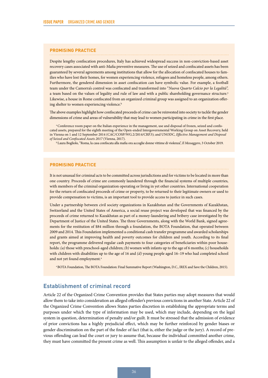#### <span id="page-43-0"></span>**PROMISING PRACTICE**

Despite lengthy confiscation procedures, Italy has achieved widespread success in non-conviction-based asset recovery cases associated with anti-Mafia preventive measures. The use of seized and confiscated assets has been guaranteed by several agreements among institutions that allow for the allocation of confiscated houses to families who have lost their homes, for women experiencing violence, refugees and homeless people, among others. Furthermore, the gendered dimension in asset confiscation can have symbolic value. For example, a football team under the Camorra's control was confiscated and transformed into "*Nuova Quarto Calcio per la Legalità*", a team based on the values of legality and rule of law and with a public shareholding governance structure.<sup>a</sup> Likewise, a house in Rome confiscated from an organized criminal group was assigned to an organization offering shelter to women experiencing violence.<sup>b</sup>

The above examples highlight how confiscated proceeds of crime can be reinvested into society to tackle the gender dimensions of crime and areas of vulnerability that may lead to women participating in crime in the first place.

<sup>a</sup> Conference room paper on the Italian experience in the management, use and disposal of frozen, seized and confiscated assets, prepared for the eighth meeting of the Open-ended Intergovernmental Working Group on Asset Recovery, held in Vienna on 1 and 12 September 2014 (CAC/COSP/WG.2/2014/CRP.3); and UNODC, *Effective Management and Disposal of Seized and Confiscated Assets 2017* (Vienna, 2017).

b Laura Bogliolo, "Roma, la casa confiscata alla mafia ora accoglie donne vittime di violenza", *Il Messaggero*, 3 October 2019.

#### **PROMISING PRACTICE**

It is not unusual for criminal acts to be committed across jurisdictions and for victims to be located in more than one country. Proceeds of crime are commonly laundered through the financial systems of multiple countries, with members of the criminal organization operating or living in yet other countries. International cooperation for the return of confiscated proceeds of crime or property, to be returned to their legitimate owners or used to provide compensation to victims, is an important tool to provide access to justice in such cases.

Under a partnership between civil society organizations in Kazakhstan and the Governments of Kazakhstan, Switzerland and the United States of America, a social reuse project was developed that was financed by the proceeds of crime returned to Kazakhstan as part of a money-laundering and bribery case investigated by the Department of Justice of the United States. The three Governments, along with the World Bank, signed agreements for the restitution of \$84 million through a foundation, the BOTA Foundation, that operated between 2009 and 2014. This Foundation implemented a conditional cash transfer programme and awarded scholarships and grants aimed at improving health and poverty outcomes for children and youth. According to its final report, the programme delivered regular cash payments to four categories of beneficiaries within poor households: *(a)* those with preschool-aged children; *(b)* women with infants up to the age of 6 months; *(c)* households with children with disabilities up to the age of 16 and *(d)* young people aged 16–19 who had completed school and not yet found employment.<sup>a</sup>

a BOTA Foundation, The BOTA Foundation: Final Summative Report (Washington, D.C., IREX and Save the Children, 2015).

#### **Establishment of criminal record**

Article 22 of the Organized Crime Convention provides that States parties may adopt measures that would allow them to take into consideration an alleged offender's previous convictions in another State. Article 22 of the Organized Crime Convention allows States parties discretion in establishing the appropriate terms and purposes under which the type of information may be used, which may include, depending on the legal system in question, determination of penalty and/or guilt. It must be stressed that the admission of evidence of prior convictions has a highly prejudicial effect, which may be further reinforced by gender biases or gender discrimination on the part of the finder of fact (that is, either the judge or the jury). A record of previous offending can lead the court or jury to assume that, because the individual committed another crime, they must have committed the present crime as well. This assumption is unfair to the alleged offender, and a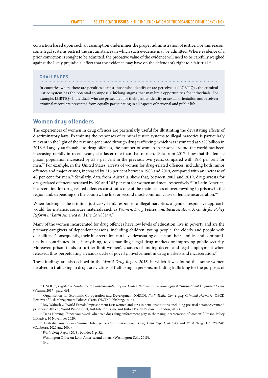<span id="page-44-0"></span>conviction based upon such an assumption undermines the proper administration of justice. For this reason, some legal systems restrict the circumstances in which such evidence may be admitted. Where evidence of a prior conviction is sought to be admitted, the probative value of the evidence will need to be carefully weighed against the likely prejudicial effect that the evidence may have on the defendant's right to a fair trial.<sup>55</sup>

#### **CHALLENGES**

In countries where there are penalties against those who identify or are perceived as LGBTIQ+, the criminal justice system has the potential to impose a lifelong stigma that may limit opportunities for individuals. For example, LGBTIQ+ individuals who are prosecuted for their gender identity or sexual orientation and receive a criminal record are prevented from equally participating in all aspects of personal and public life.

#### **Women drug offenders**

The experiences of women in drug offences are particularly useful for illustrating the devastating effects of discriminatory laws. Examining the responses of criminal justice systems to illegal narcotics is particularly relevant in the light of the revenue generated through drug trafficking, which was estimated at \$320 billion in 2016.56 Largely attributable to drug offences, the number of women in prisons around the world has been increasing rapidly in recent years, at a faster rate than that of men. Data from 2017 show that the female prison population increased by 53.3 per cent in the previous two years, compared with 19.6 per cent for men.57 For example, in the United States, arrests of women for drug-related offences, including both minor offences and major crimes, increased by 216 per cent between 1985 and 2019, compared with an increase of 48 per cent for men.58 Similarly, data from Australia show that, between 2002 and 2019, drug arrests for drug-related offences increased by 190 and 102 per cent for women and men, respectively.<sup>59</sup> In Latin America, incarceration for drug-related offences constitutes one of the main causes of overcrowding in prisons in the region and, depending on the country, the first or second most-common cause of female incarceration.<sup>60</sup>

When looking at the criminal justice system's response to illegal narcotics, a gender-responsive approach would, for instance, consider materials such as *Women, Drug Polices, and Incarceration: A Guide for Policy Reform in Latin America and the Caribbean*. 61

Many of the women incarcerated for drug offences have low levels of education, live in poverty and are the primary caregivers of dependent persons, including children, young people, the elderly and people with disabilities. Consequently, their incarceration can have devastating effects on their families and communities but contributes little, if anything, to dismantling illegal drug markets or improving public security. Moreover, prison tends to further limit women's chances of finding decent and legal employment when released, thus perpetuating a vicious cycle of poverty, involvement in drug markets and incarceration.<sup>62</sup>

These findings are also echoed in the *World Drug Report 2018*, in which it was found that some women involved in trafficking in drugs are victims of trafficking in persons, including trafficking for the purposes of

<sup>55</sup> UNODC, *Legislative Guides for the Implementation of the United Nations Convention against Transnational Organized Crime*  (Vienna, 2017), para. 461.

<sup>56</sup> Organisation for Economic Co-operation and Development (OECD), *Illicit Trade: Converging Criminal Networks*, OECD Reviews of Risk Management Policies (Paris, OECD Publishing, 2016).

<sup>57</sup> Roy Walmsley, "World Female Imprisonment List: women and girls in penal institutions, including pre-trial detainees/remand prisoners"*,* 4th ed., World Prison Brief, Institute for Crime and Justice Policy Research (London, 2017).

<sup>58</sup> Tiana Herring, "Since you asked: what role does drug enforcement play in the rising incarceration of women?", Prison Policy Initiative, 10 November 2020.

<sup>59</sup> Australia, Australian Criminal Intelligence Commission, *Illicit Drug Data Report 2018-19* and *Illicit Drug Data 2002-03*  (Canberra, 2020 and 2004).

<sup>60</sup> *World Drug Report 2018* , booklet 5, p. 32.

<sup>&</sup>lt;sup>61</sup> Washington Office on Latin America and others, (Washington D.C., 2015).

<sup>62</sup> Ibid.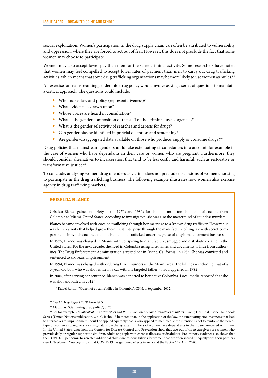sexual exploitation. Women's participation in the drug supply chain can often be attributed to vulnerability and oppression, where they are forced to act out of fear. However, this does not preclude the fact that some women may choose to participate.

Women may also accept lower pay than men for the same criminal activity. Some researchers have noted that women may feel compelled to accept lower rates of payment than men to carry out drug trafficking activities, which means that some drug trafficking organizations may be more likely to use women as mules.<sup>63</sup>

An exercise for mainstreaming gender into drug policy would involve asking a series of questions to maintain a critical approach. The questions could include:

- Who makes law and policy (representativeness)?
- What evidence is drawn upon?
- Whose voices are heard in consultation?
- What is the gender composition of the staff of the criminal justice agencies?
- What is the gender selectivity of searches and arrests for drugs?
- Can gender bias be identified in pretrial detention and sentencing?
- Are gender-disaggregated data available on those who produce, supply or consume drugs?<sup>64</sup>

Drug policies that mainstream gender should take extenuating circumstances into account, for example in the case of women who have dependants in their care or women who are pregnant. Furthermore, they should consider alternatives to incarceration that tend to be less costly and harmful, such as restorative or transformative justice.<sup>65</sup>

To conclude, analysing women drug offenders as victims does not preclude discussions of women choosing to participate in the drug trafficking business. The following example illustrates how women also exercise agency in drug trafficking markets.

#### **GRISELDA BLANCO**

Griselda Blanco gained notoriety in the 1970s and 1980s for shipping multi-ton shipments of cocaine from Colombia to Miami, United States. According to investigators, she was also the mastermind of countless murders.

Blanco became involved with cocaine trafficking through her marriage to a known drug trafficker. However, it was her creativity that helped grow their illicit enterprise through the manufacture of lingerie with secret compartments in which cocaine could be hidden and trafficked under the guise of a legitimate garment business.

In 1975, Blanco was charged in Miami with conspiring to manufacture, smuggle and distribute cocaine in the United States. For the next decade, she lived in Colombia using false names and documents to hide from authorities. The Drug Enforcement Administration arrested her in Irvine, California, in 1985. She was convicted and sentenced to six years' imprisonment.

In 1994, Blanco was charged with ordering three murders in the Miami area. The killings – including that of a 3-year-old boy, who was shot while in a car with his targeted father – had happened in 1982.

In 2004, after serving her sentence, Blanco was deported to her native Colombia. Local media reported that she was shot and killed in 2012<sup>a</sup>

a Rafael Romo, "'Queen of cocaine' killed in Colombia", CNN, 4 September 2012.

<sup>63</sup> *World Drug Report 2018*, booklet 5.

<sup>64</sup> Macaulay, "Gendering drug policy", p. 25.

<sup>&</sup>lt;sup>65</sup> See for example: *Handbook of Basic Principles and Promising Practices on Alternatives to Imprisonment*, Criminal Justice Handbook Series (United Nations publication, 2007). It should be noted that, in the application of the law, the extenuating circumstances that lead to alternatives to imprisonment should be applied equitably that is, also applied to men. While the intention is not to reinforce the stereotype of women as caregivers, existing data show that greater numbers of women have dependants in their care compared with men. In the United States, data from the Centers for Disease Control and Prevention show that two out of three caregivers are women who provide daily or regular support to children, adults or people with chronic illnesses or disabilities. Preliminary evidence also shows that the COVID-19 pandemic has created additional child-care responsibilities for women that are often shared unequally with their partners (see UN-Women, "Surveys show that COVID-19 has gendered effects in Asia and the Pacific", 29 April 2020).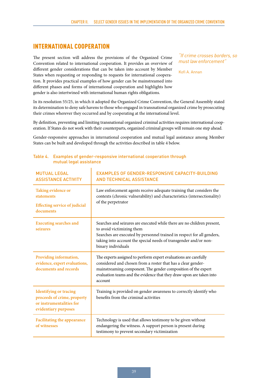#### <span id="page-46-0"></span>INTERNATIONAL COOPERATION

The present section will address the provisions of the Organized Crime Convention related to international cooperation. It provides an overview of different gender considerations that can be taken into account by Member States when requesting or responding to requests for international cooperation. It provides practical examples of how gender can be mainstreamed into different phases and forms of international cooperation and highlights how gender is also intertwined with international human rights obligations.

*"If crime crosses borders, so must law enforcement"*

Kofi A. Annan

In its resolution 55/25, in which it adopted the Organized Crime Convention, the General Assembly stated its determination to deny safe havens to those who engaged in transnational organized crime by prosecuting their crimes wherever they occurred and by cooperating at the international level.

By definition, preventing and limiting transnational organized criminal activities requires international cooperation. If States do not work with their counterparts, organized criminal groups will remain one step ahead.

Gender-responsive approaches in international cooperation and mutual legal assistance among Member States can be built and developed through the activities described in table 4 below.

| <b>MUTUAL LEGAL</b><br><b>ASSISTANCE ACTIVITY</b>                                                                | <b>EXAMPLES OF GENDER-RESPONSIVE CAPACITY-BUILDING</b><br><b>AND TECHNICAL ASSISTANCE</b>                                                                                                                                                                                            |
|------------------------------------------------------------------------------------------------------------------|--------------------------------------------------------------------------------------------------------------------------------------------------------------------------------------------------------------------------------------------------------------------------------------|
| Taking evidence or<br>statements<br><b>Effecting service of judicial</b><br>documents                            | Law enforcement agents receive adequate training that considers the<br>contexts (chronic vulnerability) and characteristics (intersectionality)<br>of the perpetrator                                                                                                                |
| <b>Executing searches and</b><br>seizures                                                                        | Searches and seizures are executed while there are no children present,<br>to avoid victimizing them<br>Searches are executed by personnel trained in respect for all genders,<br>taking into account the special needs of transgender and/or non-<br>binary individuals             |
| Providing information,<br>evidence, expert evaluations,<br>documents and records                                 | The experts assigned to perform expert evaluations are carefully<br>considered and chosen from a roster that has a clear gender-<br>mainstreaming component. The gender composition of the expert<br>evaluation teams and the evidence that they draw upon are taken into<br>account |
| <b>Identifying or tracing</b><br>proceeds of crime, property<br>or instrumentalities for<br>evidentiary purposes | Training is provided on gender awareness to correctly identify who<br>benefits from the criminal activities                                                                                                                                                                          |
| <b>Facilitating the appearance</b><br>of witnesses                                                               | Technology is used that allows testimony to be given without<br>endangering the witness. A support person is present during<br>testimony to prevent secondary victimization                                                                                                          |

#### Table 4. Examples of gender-responsive international cooperation through mutual legal assistance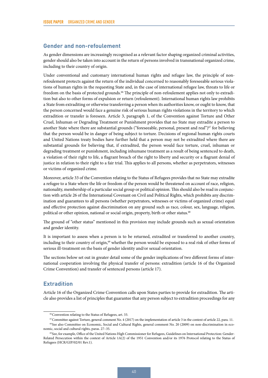#### <span id="page-47-0"></span>**Gender and non-refoulement**

As gender dimensions are increasingly recognised as a relevant factor shaping organized criminal activities, gender should also be taken into account in the return of persons involved in transnational organized crime, including to their country of origin.

Under conventional and customary international human rights and refugee law, the principle of nonrefoulement protects against the return of the individual concerned to reasonably foreseeable serious violations of human rights in the requesting State and, in the case of international refugee law, threats to life or freedom on the basis of protected grounds.66 The principle of non-refoulement applies not only to extradition but also to other forms of expulsion or return (refoulement). International human rights law prohibits a State from extraditing or otherwise transferring a person when its authorities know, or ought to know, that the person concerned would face a genuine risk of serious human rights violations in the territory to which extradition or transfer is foreseen. Article 3, paragraph 1, of the Convention against Torture and Other Cruel, Inhuman or Degrading Treatment or Punishment provides that no State may extradite a person to another State where there are substantial grounds ("foreseeable, personal, present and real")<sup>67</sup> for believing that the person would be in danger of being subject to torture. Decisions of regional human rights courts and United Nations treaty bodies have further held that a person may not be extradited where there are substantial grounds for believing that, if extradited, the person would face torture, cruel, inhuman or degrading treatment or punishment, including inhumane treatment as a result of being sentenced to death, a violation of their right to life, a flagrant breach of the right to liberty and security or a flagrant denial of justice in relation to their right to a fair trial. This applies to all persons, whether as perpetrators, witnesses or victims of organized crime.

Moreover, article 33 of the Convention relating to the Status of Refugees provides that no State may extradite a refugee to a State where the life or freedom of the person would be threatened on account of race, religion, nationality, membership of a particular social group or political opinion. This should also be read in conjunction with article 26 of the International Covenant on Civil and Political Rights, which prohibits any discrimination and guarantees to all persons (whether perpetrators, witnesses or victims of organized crime) equal and effective protection against discrimination on any ground such as race, colour, sex, language, religion, political or other opinion, national or social origin, property, birth or other status.<sup>68</sup>

The ground of "other status" mentioned in this provision may include grounds such as sexual orientation and gender identity.

It is important to assess when a person is to be returned, extradited or transferred to another country, including to their country of origin,<sup>69</sup> whether the person would be exposed to a real risk of other forms of serious ill-treatment on the basis of gender identity and/or sexual orientation.

The sections below set out in greater detail some of the gender implications of two different forms of international cooperation involving the physical transfer of persons: extradition (article 16 of the Organized Crime Convention) and transfer of sentenced persons (article 17).

#### **Extradition**

Article 16 of the Organized Crime Convention calls upon States parties to provide for extradition. The article also provides a list of principles that guarantee that any person subject to extradition proceedings for any

<sup>66</sup>Convention relating to the Status of Refugees, art. 33.

<sup>67</sup>Committee against Torture, general comment No. 4 (2017) on the implementation of article 3 in the context of article 22, para. 11.

<sup>&</sup>lt;sup>68</sup> See also Committee on Economic, Social and Cultural Rights, general comment No. 20 (2009) on non-discrimination in economic, social and cultural rights, paras. 27–35.

<sup>69</sup> See, for example, Office of the United Nations High Commissioner for Refugees, Guidelines on International Protection: Gender-Related Persecution within the context of Article 1A(2) of the 1951 Convention and/or its 1976 Protocol relating to the Status of Refugees (HCR/GIP/02/01 Rev.1).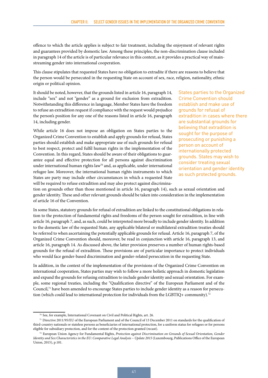offence to which the article applies is subject to fair treatment, including the enjoyment of relevant rights and guarantees provided by domestic law. Among these principles, the non-discrimination clause included in paragraph 14 of the article is of particular relevance in this context, as it provides a practical way of mainstreaming gender into international cooperation.

This clause stipulates that requested States have no obligation to extradite if there are reasons to believe that the person would be persecuted in the requesting State on account of sex, race, religion, nationality, ethnic origin or political opinion.

It should be noted, however, that the grounds listed in article 16, paragraph 14, include "sex" and not "gender" as a ground for exclusion from extradition. Notwithstanding this difference in language, Member States have the freedom to refuse an extradition request if compliance with the request would prejudice the person's position for any one of the reasons listed in article 16, paragraph 14, including gender.

While article 16 does not impose an obligation on States parties to the Organized Crime Convention to establish and apply grounds for refusal, States parties should establish and make appropriate use of such grounds for refusal to best respect, protect and fulfil human rights in the implementation of the Convention. In this regard, States should be aware of their obligations to guarantee equal and effective protection for all persons against discrimination under international human rights law<sup>70</sup> and, as applicable, under international refugee law. Moreover, the international human rights instruments to which States are party may include other circumstances in which a requested State will be required to refuse extradition and may also protect against discriminaStates parties to the Organized Crime Convention should establish and make use of grounds for refusal of extradition in cases where there are substantial grounds for believing that extradition is sought for the purpose of prosecuting or punishing a person on account of internationally protected grounds. States may wish to consider treating sexual orientation and gender identity as such protected grounds.

tion on grounds other than those mentioned in article 16, paragraph 14), such as sexual orientation and gender identity. These and other relevant grounds should be taken into consideration in the implementation of article 16 of the Convention.

In some States, statutory grounds for refusal of extradition are linked to the constitutional obligations in relation to the protection of fundamental rights and freedoms of the person sought for extradition, in line with article 16, paragraph 7, and, as such, could be interpreted more broadly to include gender identity. In addition to the domestic law of the requested State, any applicable bilateral or multilateral extradition treaties should be referred to when ascertaining the potentially applicable grounds for refusal. Article 16, paragraph 7, of the Organized Crime Convention should, moreover, be read in conjunction with article 16, paragraph 13, and article 16, paragraph 14. As discussed above, the latter provision preserves a number of human rights-based grounds for the refusal of extradition. These provisions are of particular importance to protect individuals who would face gender-based discrimination and gender-related persecution in the requesting State.

In addition, in the context of the implementation of the provisions of the Organized Crime Convention on international cooperation, States parties may wish to follow a more holistic approach in domestic legislation and expand the grounds for refusing extradition to include gender identity and sexual orientation. For example, some regional treaties, including the "Qualification directive" of the European Parliament and of the Council,<sup>71</sup> have been amended to encourage States parties to include gender identity as a reason for persecution (which could lead to international protection for individuals from the LGBTIQ+ community).<sup>72</sup>

<sup>70</sup> See, for example, International Covenant on Civil and Political Rights, art. 26.

<sup>71</sup> Directive 2011/95/EU of the European Parliament and of the Council of 13 December 2011 on standards for the qualification of third-country nationals or stateless persons as beneficiaries of international protection, for a uniform status for refugees or for persons eligible for subsidiary protection, and for the content of the protection granted (recast).

<sup>72</sup> European Union Agency for Fundamental Rights, *Protection against Discrimination on Grounds of Sexual Orientation, Gender Identity and Sex Characteristics in the EU: Comparative Legal Analysis* – *Update 2015* (Luxembourg, Publications Office of the European Union, 2015), p.101.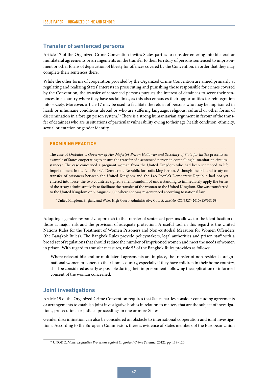#### <span id="page-49-0"></span>**Transfer of sentenced persons**

Article 17 of the Organized Crime Convention invites States parties to consider entering into bilateral or multilateral agreements or arrangements on the transfer to their territory of persons sentenced to imprisonment or other forms of deprivation of liberty for offences covered by the Convention, in order that they may complete their sentences there.

While the other forms of cooperation provided by the Organized Crime Convention are aimed primarily at regulating and realizing States' interests in prosecuting and punishing those responsible for crimes covered by the Convention, the transfer of sentenced persons pursues the interest of detainees to serve their sentences in a country where they have social links, as this also enhances their opportunities for reintegration into society. Moreover, article 17 may be used to facilitate the return of persons who may be imprisoned in harsh or inhumane conditions abroad or who are suffering language, religious, cultural or other forms of discrimination in a foreign prison system.73 There is a strong humanitarian argument in favour of the transfer of detainees who are in situations of particular vulnerability owing to their age, health condition, ethnicity, sexual orientation or gender identity.

#### **PROMISING PRACTICE**

The case of *Orobator v. Governor of Her Majesty's Prison Holloway and Secretary of State for Justice* presents an example of States cooperating to ensure the transfer of a sentenced person in compelling humanitarian circumstances.<sup>a</sup> The case concerned a pregnant woman from the United Kingdom who had been sentenced to life imprisonment in the Lao People's Democratic Republic for trafficking heroin. Although the bilateral treaty on transfer of prisoners between the United Kingdom and the Lao People's Democratic Republic had not yet entered into force, the two countries signed a memorandum of understanding to immediately apply the terms of the treaty administratively to facilitate the transfer of the woman to the United Kingdom. She was transferred to the United Kingdom on 7 August 2009, where she was re-sentenced according to national law.

a United Kingdom, England and Wales High Court (Administrative Court), case No. CO/9527 (2010) EWHC 58.

Adopting a gender-responsive approach to the transfer of sentenced persons allows for the identification of those at major risk and the provision of adequate protection. A useful tool in this regard is the United Nations Rules for the Treatment of Women Prisoners and Non-custodial Measures for Women Offenders (the Bangkok Rules). The Bangkok Rules provide policymakers, legal authorities and prison staff with a broad set of regulations that should reduce the number of imprisoned women and meet the needs of women in prison. With regard to transfer measures, rule 53 of the Bangkok Rules provides as follows:

Where relevant bilateral or multilateral agreements are in place, the transfer of non-resident foreignnational women prisoners to their home country, especially if they have children in their home country, shall be considered as early as possible during their imprisonment, following the application or informed consent of the woman concerned.

#### **Joint investigations**

Article 19 of the Organized Crime Convention requires that States parties consider concluding agreements or arrangements to establish joint investigative bodies in relation to matters that are the subject of investigations, prosecutions or judicial proceedings in one or more States.

Gender discrimination can also be considered an obstacle to international cooperation and joint investigations. According to the European Commission, there is evidence of States members of the European Union

<sup>73</sup> UNODC, *Model Legislative Provisions against Organized Crime* (Vienna, 2012), pp. 119–120.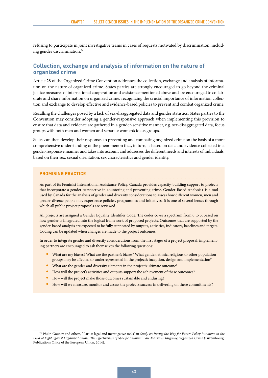<span id="page-50-0"></span>refusing to participate in joint investigative teams in cases of requests motivated by discrimination, including gender discrimination.74

#### **Collection, exchange and analysis of information on the nature of organized crime**

Article 28 of the Organized Crime Convention addresses the collection, exchange and analysis of information on the nature of organized crime. States parties are strongly encouraged to go beyond the criminal justice measures of international cooperation and assistance mentioned above and are encouraged to collaborate and share information on organized crime, recognizing the crucial importance of information collection and exchange to develop effective and evidence-based policies to prevent and combat organized crime.

Recalling the challenges posed by a lack of sex-disaggregated data and gender statistics, States parties to the Convention may consider adopting a gender-responsive approach when implementing this provision to ensure that data and evidence are gathered in a gender-sensitive manner, e.g. sex-disaggregated data, focus groups with both men and women and separate women's focus groups.

States can then develop their responses to preventing and combating organized crime on the basis of a more comprehensive understanding of the phenomenon that, in turn, is based on data and evidence collected in a gender-responsive manner and takes into account and addresses the different needs and interests of individuals, based on their sex, sexual orientation, sex characteristics and gender identity.

#### **PROMISING PRACTICE**

As part of its Feminist International Assistance Policy, Canada provides capacity-building support to projects that incorporate a gender perspective in countering and preventing crime. Gender-Based Analysis+ is a tool used by Canada for the analysis of gender and diversity considerations to assess how different women, men and gender-diverse people may experience policies, programmes and initiatives. It is one of several lenses through which all public project proposals are reviewed.

All projects are assigned a Gender Equality Identifier Code. The codes cover a spectrum from 0 to 3, based on how gender is integrated into the logical framework of proposed projects. Outcomes that are supported by the gender-based analysis are expected to be fully supported by outputs, activities, indicators, baselines and targets. Coding can be updated when changes are made to the project outcomes.

In order to integrate gender and diversity considerations from the first stages of a project proposal, implementing partners are encouraged to ask themselves the following questions:

- What are my biases? What are the partner's biases? What gender, ethnic, religious or other population groups may be affected or underrepresented in the project's inception, design and implementation?
- What are the gender and diversity elements in the project's ultimate outcome?
- How will the project's activities and outputs support the achievement of these outcomes?
- How will the project make those outcomes sustainable and enduring?
- How will we measure, monitor and assess the project's success in delivering on these commitments?

<sup>74</sup> Philip Gounev and others, "Part 3: legal and investigative tools" in *Study on Paving the Way for Future Policy Initiatives in the*  Field of Fight against Organized Crime: The Effectiveness of Specific Criminal Law Measures Targeting Organized Crime (Luxembourg, Publications Office of the European Union, 2014).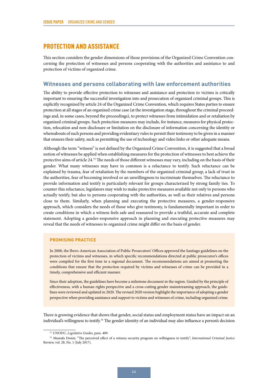#### <span id="page-51-0"></span>PROTECTION AND ASSISTANCE

This section considers the gender dimensions of those provisions of the Organized Crime Convention concerning the protection of witnesses and persons cooperating with the authorities and assistance to and protection of victims of organized crime.

#### **Witnesses and persons collaborating with law enforcement authorities**

The ability to provide effective protection to witnesses and assistance and protection to victims is critically important to ensuring the successful investigation into and prosecution of organized criminal groups. This is explicitly recognized by article 24 of the Organized Crime Convention, which requires States parties to ensure protection at all stages of an organized crime case (at the investigation stage, throughout the criminal proceedings and, in some cases, beyond the proceedings), to protect witnesses from intimidation and or retaliation by organized criminal groups. Such protection measures may include, for instance, measures for physical protection, relocation and non-disclosure or limitation on the disclosure of information concerning the identity or whereabouts of such persons and providing evidentiary rules to permit their testimony to be given in a manner that ensures their safety, such as permitting the use of technology and video links or other adequate means.

Although the term "witness" is not defined by the Organized Crime Convention, it is suggested that a broad notion of witnesses be applied when establishing measures for the protection of witnesses to best achieve the protective aims of article 24.75 The needs of those different witnesses may vary, including on the basis of their gender. What many witnesses may have in common is a reluctance to testify. Such reluctance can be explained by trauma, fear of retaliation by the members of the organized criminal group, a lack of trust in the authorities, fear of becoming involved or an unwillingness to incriminate themselves. The reluctance to provide information and testify is particularly relevant for groups characterized by strong family ties. To counter this reluctance, legislators may wish to make protective measures available not only to persons who actually testify, but also to persons cooperating with the authorities, as well as their relatives and persons close to them. Similarly, when planning and executing the protective measures, a gender-responsive approach, which considers the needs of those who give testimony, is fundamentally important in order to create conditions in which a witness feels safe and reassured to provide a truthful, accurate and complete statement. Adopting a gender-responsive approach in planning and executing protective measures may reveal that the needs of witnesses to organized crime might differ on the basis of gender.

#### **PROMISING PRACTICE**

In 2008, the Ibero-American Association of Public Prosecutors' Offices approved the Santiago guidelines on the protection of victims and witnesses, in which specific recommendations directed at public prosecutor's offices were compiled for the first time in a regional document. The recommendations are aimed at promoting the conditions that ensure that the protection required by victims and witnesses of crime can be provided in a timely, comprehensive and efficient manner.

Since their adoption, the guidelines have become a milestone document in the region. Guided by the principle of effectiveness, with a human rights perspective and a cross-cutting gender mainstreaming approach, the guidelines were reviewed and updated in 2020. The revised 2020 version highlight the importance of adopting a gender perspective when providing assistance and support to victims and witnesses of crime, including organized crime.

There is growing evidence that shows that gender, social status and employment status have an impact on an individual's willingness to testify.<sup>76</sup> The gender identity of an individual may also influence a person's decision

<sup>75</sup> UNODC, *Legislative Guides*, para. 409.

<sup>76</sup> Mustafa Demir, "The perceived effect of a witness security program on willingness to testify", *International Criminal Justice*  Review, vol. 28, No. 1 (July 2017).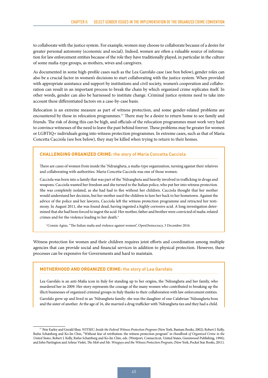to collaborate with the justice system. For example, women may choose to collaborate because of a desire for greater personal autonomy (economic and social). Indeed, women are often a valuable source of information for law enforcement entities because of the role they have traditionally played, in particular in the culture of some mafia-type groups, as mothers, wives and caregivers.

As documented in some high-profile cases such as the Lea Garofalo case (see box below), gender roles can also be a crucial factor in women's decisions to start collaborating with the justice system. When provided with appropriate assistance and support by institutions and civil society, women's cooperation and collaboration can result in an important process to break the chain by which organized crime replicates itself. In other words, gender can also be harnessed to institute change. Criminal justice systems need to take into account these differentiated factors on a case-by-case basis.

Relocation is an extreme measure as part of witness protection, and some gender-related problems are encountered by those in relocation programmes.<sup>77</sup> There may be a desire to return home to see family and friends. The risk of doing this can be high, and officials of the relocation programmes must work very hard to convince witnesses of the need to leave the past behind forever. These problems may be greater for women or LGBTIQ+ individuals going into witness protection programmes. In extreme cases, such as that of Maria Concetta Cacciola (see box below), they may be killed when trying to return to their homes.

#### **CHALLENGING ORGANIZED CRIME:** the story of Maria Concetta Cacciola

There are cases of women from inside the 'Ndrangheta, a mafia-type organization, turning against their relatives and collaborating with authorities. Maria Concetta Cacciola was one of those women.

Cacciola was born into a family that was part of the 'Ndrangheta and heavily involved in trafficking in drugs and weapons. Cacciola wanted her freedom and she turned to the Italian police, who put her into witness protection. She was completely isolated, as she had had to flee without her children. Cacciola thought that her mother would understand her decision, but her mother used the children to lure her back to her hometown. Against the advice of the police and her lawyers, Cacciola left the witness protection programme and retracted her testimony. In August 2011, she was found dead, having ingested a highly corrosive acid. A long investigation determined that she had been forced to ingest the acid. Her mother, father and brother were convicted of mafia-related crimes and for the violence leading to her death.<sup>a</sup>

<sup>a</sup> Connie Agius, "The Italian mafia and violence against women", OpenDemocracy, 3 December 2016.

Witness protection for women and their children requires joint efforts and coordination among multiple agencies that can provide social and financial services in addition to physical protection. However, these processes can be expensive for Governments and hard to maintain.

#### **MOTHERHOOD AND ORGANIZED CRIME:** the story of Lea Garofalo

Lea Garofalo is an anti-Mafia icon in Italy for standing up to her origins, the 'Ndrangheta and her family, who murdered her in 2009. Her story represents the courage of the many women who contributed to breaking up the illicit businesses of organized criminal groups in Italy thanks to their collaboration with law enforcement entities. Garofalo grew up and lived in an 'Ndrangheta family: she was the daughter of one Calabrian 'Ndrangheta boss and the sister of another. At the age of 16, she married a drug trafficker with 'Ndrangheta ties and they had a child.

<sup>77</sup> Pete Earley and Gerald Shur, *WITSEC: Inside the Federal Witness Protection Program* (New York, Bantam Books, 2002); Robert J. Kelly, Rufus Schatzberg and Ko-lin Chin, "Without fear of retribution: the witness protection program" in *Handbook of Organized Crime in the United States*, Robert J. Kelly, Rufus Schatzberg and Ko-lin Chin, eds. (Westport, Connecticut, United States, Greenwood Publishing, 1994); and John Partington and Arlene Violet, *The Mob and Me: Wiseguys and the Witness Protection Program*, (New York, Pocket Star Books, 2011).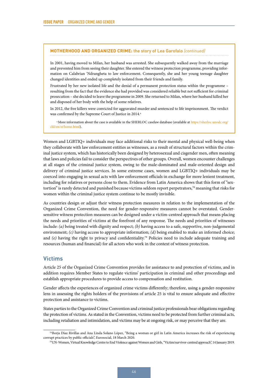#### <span id="page-53-0"></span>**MOTHERHOOD AND ORGANIZED CRIME:** the story of Lea Garofalo *(continued)*

In 2001, having moved to Milan, her husband was arrested. She subsequently walked away from the marriage and prevented him from seeing their daughter. She entered the witness protection programme, providing information on Calabrian 'Ndrangheta to law enforcement. Consequently, she and her young teenage daughter changed identities and ended up completely isolated from their friends and family.

Frustrated by her new isolated life and the denial of a permanent protection status within the programme – resulting from the fact that the evidence she had provided was considered reliable but not sufficient for criminal prosecution – she decided to leave the programme in 2009. She returned to Milan, where her husband killed her and disposed of her body with the help of some relatives.

In 2012, the five killers were convicted for aggravated murder and sentenced to life imprisonment. The verdict was confirmed by the Supreme Court of Justice in 2014.<sup>a</sup>

<sup>a</sup> More information about the case is available in the SHERLOC caselaw database (available at [https://sherloc.unodc.org/](https://sherloc.unodc.org/cld/en/st/home.html) [cld/en/st/home.html](https://sherloc.unodc.org/cld/en/st/home.html)).

Women and LGBTIQ+ individuals may face additional risks to their mental and physical well-being when they collaborate with law enforcement entities as witnesses, as a result of structural factors within the criminal justice system, which has historically been designed by heterosexual and cisgender men, often meaning that laws and policies fail to consider the perspectives of other groups. Overall, women encounter challenges at all stages of the criminal justice system, owing to the male-dominated and male-oriented design and delivery of criminal justice services. In some extreme cases, women and LGBTIQ+ individuals may be coerced into engaging in sexual acts with law enforcement officials in exchange for more lenient treatment, including for relatives or persons close to them. Evidence from Latin America shows that this form of "sextortion" is rarely detected and punished because victims seldom report perpetrators,78 meaning that risks for women within the criminal justice system continue to be mostly invisible.

As countries design or adjust their witness protection measures in relation to the implementation of the Organized Crime Convention, the need for gender-responsive measures cannot be overstated. Gendersensitive witness protection measures can be designed under a victim-centred approach that means placing the needs and priorities of victims at the forefront of any response. The needs and priorities of witnesses include: *(a)* being treated with dignity and respect; *(b)* having access to a safe, supportive, non-judgemental environment; *(c)* having access to appropriate information; *(d)* being enabled to make an informed choice; and *(e)* having the right to privacy and confidentiality.<sup>79</sup> Policies need to include adequate training and resources (human and financial) for all actors who work in the context of witness protection.

#### **Victims**

Article 25 of the Organized Crime Convention provides for assistance to and protection of victims, and in addition requires Member States to regulate victims' participation in criminal and other proceedings and establish appropriate procedures to provide access to compensation and restitution.

Gender affects the experiences of organized crime victims differently; therefore, using a gender-responsive lens in assessing the rights holders of the provisions of article 25 is vital to ensure adequate and effective protection and assistance to victims.

States parties to the Organized Crime Convention and criminal justice professionals bear obligations regarding the protection of victims. As stated in the Convention, victims need to be protected from further criminal acts, including retaliation and intimidation, and victims may be at ongoing risk, or may perceive that they are.

<sup>78</sup>Borja Díaz Rivillas and Ana Linda Solano López, "Being a woman or girl in Latin America increases the risk of experiencing corrupt practices by public officials", Eurosocial, 18 March 2020.

<sup>79</sup>UN-Women, Virtual Knowledge Centre to End Violence against Women and Girls, "Victim/survivor-centred approach", 14 January 2019.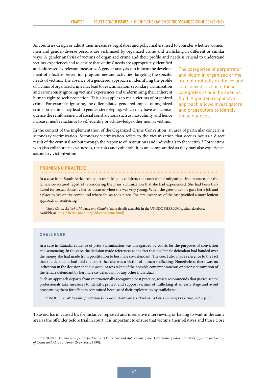As countries design or adjust their measures, legislators and policymakers need to consider whether women, men and gender-diverse persons are victimized by organized crime and trafficking in different or similar ways. A gender analysis of victims of organized crime and their profile and needs is crucial to understand victims' experiences and to ensure that victims' needs are appropriately identified

and addressed by relevant measures. A gender analysis can inform the development of effective prevention programmes and activities, targeting the specific needs of victims. The absence of a gendered approach in identifying the profile of victims of organized crime may lead to revictimization, secondary victimization and erroneously ignoring victims' experiences and undermining their inherent human right to seek protection. This also applies to male victims of organized crime. For example, ignoring, the differentiated gendered impact of organized crime on victims may lead to gender stereotyping, which may have as a consequence the reinforcement of social constructions such as masculinity, and hence increase men's reluctance to self-identify or acknowledge other men as victims.

The categories of perpetrator and victim in organized crime are not mutually exclusive and can coexist; as such, these categories should be seen as fluid. A gender-responsive approach allows investigators and prosecutors to identify those nuances.

In the context of the implementation of the Organized Crime Convention, an area of particular concern is secondary victimization. Secondary victimization refers to the victimization that occurs not as a direct result of the criminal act but through the response of institutions and individuals to the victim.<sup>80</sup> For victims who also collaborate as witnesses, the risks and vulnerabilities are compounded as they may also experience secondary victimization.

#### **PROMISING PRACTICE**

In a case from South Africa related to trafficking in children, the court found mitigating circumstances for the female co-accused (aged 24) considering the prior victimization that she had experienced. She had been trafficked for sexual abuse by her co-accused when she was very young. When she grew older, he gave her a job and a place to live on the compound where abuses took place. The circumstances of the case justified a more lenient approach in sentencing.<sup>a</sup>

<sup>a</sup>*State (South Africa) v. Mabuza and Chauke* (more details available in the UNODC SHERLOC caselaw database. Available at<https://sherloc.unodc.org/cld/en/st/home.html>)

#### **CHALLENGE**

In a case in Canada, evidence of prior victimization was disregarded by courts for the purposes of conviction and sentencing. In the case, the decision made references to the fact that the female defendant had handed over the money she had made from prostitution to her male co-defendant. The court also made reference to the fact that the defendant had told the court that she was a victim of human trafficking. Nonetheless, there was no indication in the decision that due account was taken of the possible contemporaneous or prior victimization of the female defendant by her male co-defendant or any other individual.

Such an approach departs from internationally recognized best practice, which recommends that justice sector professionals take measures to identify, protect and support victims of trafficking at an early stage and avoid prosecuting them for offences committed because of their exploitation by traffickers.<sup>a</sup>

a UNODC, *Female Victims of Trafficking for Sexual Exploitation as Defendants: A Case Law Analysis*, (Vienna, 2020), p. 17.

To avoid harm caused by, for instance, repeated and insensitive interviewing or having to wait in the same area as the offender before trial in court, it is important to ensure that victims, their relatives and those close

<sup>80</sup> UNODC, *Handbook on Justice for Victims: On the Use and Application of the Declaration of Basic Principles of Justice for Victims of Crime and Abuse of Power* (New York, 1999).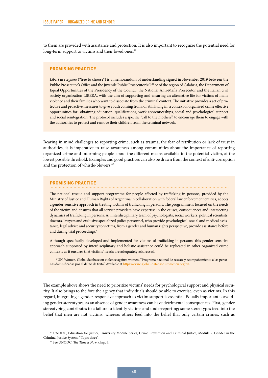to them are provided with assistance and protection. It is also important to recognize the potential need for long-term support to victims and their loved ones.<sup>81</sup>

#### **PROMISING PRACTICE**

*Liberi di scegliere* ("free to choose") is a memorandum of understanding signed in November 2019 between the Public Prosecutor's Office and the Juvenile Public Prosecutor's Office of the region of Calabria, the Department of Equal Opportunities of the Presidency of the Council, the National Anti-Mafia Prosecutor and the Italian civil society organization LIBERA, with the aim of supporting and ensuring an alternative life for victims of mafia violence and their families who want to dissociate from the criminal context. The initiative provides a set of protective and proactive measures to give youth coming from, or still living in, a context of organized crime effective opportunities for obtaining education, qualifications, work apprenticeships, social and psychological support and social reintegration. The protocol includes a specific "call to the mothers", to encourage them to engage with the authorities to protect and remove their children from the criminal network.

Bearing in mind challenges to reporting crime, such as trauma, the fear of retribution or lack of trust in authorities, it is imperative to raise awareness among communities about the importance of reporting organized crime and informing people about the different means available to the potential victim, at the lowest possible threshold. Examples and good practices can also be drawn from the context of anti-corruption and the protection of whistle-blowers.<sup>82</sup>

#### **PROMISING PRACTICE**

The national rescue and support programme for people affected by trafficking in persons, provided by the Ministry of Justice and Human Rights of Argentina in collaboration with federal law enforcement entities, adopts a gender-sensitive approach in treating victims of trafficking in persons. The programme is focused on the needs of the victim and ensures that all service providers have expertise in the causes, consequences and intersecting dynamics of trafficking in persons. An interdisciplinary team of psychologists, social workers, political scientists, doctors, lawyers and exclusive specialized police personnel, who provide psychological, social and medical assistance, legal advice and security to victims, from a gender and human rights perspective, provide assistance before and during trial proceedings.<sup>a</sup>

Although specifically developed and implemented for victims of trafficking in persons, this gender-sensitive approach supported by interdisciplinary and holistic assistance could be replicated in other organized crime contexts as it ensures that victims' needs are adequately addressed.

a UN-Women, Global database on violence against women, "Programa nacional de rescate y acompañamiento a las personas damnificadas por el delito de trata". Available at<https://evaw-global-database.unwomen.org/en>.

The example above shows the need to prioritize victims' needs for psychological support and physical security. It also brings to the fore the agency that individuals should be able to exercise, even as victims. In this regard, integrating a gender-responsive approach to victim support is essential. Equally important is avoiding gender stereotypes, as an absence of gender awareness can have detrimental consequences. First, gender stereotyping contributes to a failure to identify victims and underreporting; some stereotypes feed into the belief that men are not victims, whereas others feed into the belief that only certain crimes, such as

<sup>81</sup> UNODC, Education for Justice, University Module Series, Crime Prevention and Criminal Justice, Module 9: Gender in the Criminal Justice System, "Topic three".

<sup>82</sup> See UNODC, *The Time is Now*, chap. 4.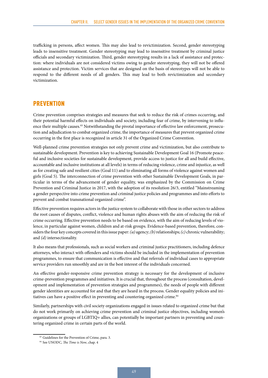<span id="page-56-0"></span>trafficking in persons, affect women. This may also lead to revictimization. Second, gender stereotyping leads to insensitive treatment. Gender stereotyping may lead to insensitive treatment by criminal justice officials and secondary victimization. Third, gender stereotyping results in a lack of assistance and protection: where individuals are not considered victims owing to gender stereotyping, they will not be offered assistance and protection. Victim services that are designed on the basis of stereotypes will not be able to respond to the different needs of all genders. This may lead to both revictimization and secondary victimization.

#### PREVENTION

Crime prevention comprises strategies and measures that seek to reduce the risk of crimes occurring, and their potential harmful effects on individuals and society, including fear of crime, by intervening to influence their multiple causes.<sup>83</sup> Notwithstanding the pivotal importance of effective law enforcement, prosecution and adjudication to combat organized crime, the importance of measures that prevent organized crime occurring in the first place is recognized in article 31 of the Organized Crime Convention.

Well-planned crime prevention strategies not only prevent crime and victimization, but also contribute to sustainable development. Prevention is key to achieving [Sustainable Development Goal 16](https://sdgs.un.org/goals/goal16) (Promote peaceful and inclusive societies for sustainable development, provide access to justice for all and build effective, accountable and inclusive institutions at all levels) in terms of reducing violence, crime and injustice, as well as for [creating safe and resilient cities](https://sustainabledevelopment.un.org/sdg11) (Goal 11) and to [eliminating all forms of violence against women and](https://sustainabledevelopment.un.org/sdg5)  [girls](https://sustainabledevelopment.un.org/sdg5) (Goal 5). The interconnection of crime prevention with other Sustainable Development Goals, in particular in terms of the advancement of gender equality, was emphasized by the Commission on Crime Prevention and Criminal Justice in 2017, with the adoption of its resolution 26/3, entitled "Mainstreaming a gender perspective into crime prevention and criminal justice policies and programmes and into efforts to prevent and combat transnational organized crime".

Effective prevention requires actors in the justice system to collaborate with those in other sectors to address the root causes of disputes, conflict, violence and human rights abuses with the aim of reducing the risk of crime occurring. Effective prevention needs to be based on evidence, with the aim of reducing levels of violence, in particular against women, children and at-risk groups. Evidence-based prevention, therefore, considers the four key concepts covered in this issue paper: *(a)* agency; *(b)* relationships; *(c)* chronic vulnerability; and *(d)* intersectionality.

It also means that professionals, such as social workers and criminal justice practitioners, including defence attorneys, who interact with offenders and victims should be included in the implementation of prevention programmes, to ensure that communication is effective and that referrals of individual cases to appropriate service providers run smoothly and are in the best interest of the individuals concerned.

An effective gender-responsive crime prevention strategy is necessary for the development of inclusive crime-prevention programmes and initiatives. It is crucial that, throughout the process (consultation, development and implementation of prevention strategies and programmes), the needs of people with different gender identities are accounted for and that they are heard in the process. Gender equality policies and initiatives can have a positive effect in preventing and countering organized crime.<sup>84</sup>

Similarly, partnerships with civil society organizations engaged in issues related to organized crime but that do not work primarily on achieving crime prevention and criminal justice objectives, including women's organizations or groups of LGBTIQ+ allies, can potentially be important partners in preventing and countering organized crime in certain parts of the world.

<sup>83</sup> Guidelines for the Prevention of Crime, para. 3.

<sup>84</sup> See UNODC, *The Time is Now*, chap. 4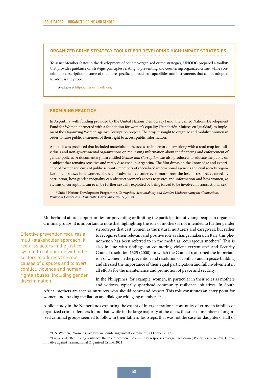#### **ORGANIZED CRIME STRATEGY TOOLKIT FOR DEVELOPING HIGH-IMPACT STRATEGIES**

To assist Member States in the development of counter-organized crime strategies, UNODC prepared a toolkit<sup>a</sup> that provides guidance on strategic principles relating to preventing and countering organized crime, while containing a description of some of the more specific approaches, capabilities and instruments that can be adopted to address the problem.

a Available at [https://sherloc.unodc.org.](https://sherloc.unodc.org)

#### **PROMISING PRACTICE**

In Argentina, with funding provided by the United Nations Democracy Fund, the United Nations Development Fund for Women partnered with a foundation for women's equality (Fundación Mujeres en Igualdad) to implement the Organizing Women against Corruption project. The project sought to organize and mobilize women in order to raise public awareness of their right to access public information.

A toolkit was produced that included materials on the access to information law, along with a road map for individuals and non-governmental organizations on requesting information about the financing and enforcement of gender policies. A documentary film entitled *Gender and Corruption* was also produced, to educate the public on a subject that remains sensitive and rarely discussed in Argentina. The film draws on the knowledge and experience of former and current public servants, members of specialized international agencies and civil society organizations. It shows how women, already disadvantaged, suffer even more from the loss of resources caused by corruption, how gender inequality can obstruct women's access to justice and information and how women, as victims of corruption, can even be further sexually exploited by being forced to be involved in transactional sex.<sup>a</sup>

a United Nations Development Programme, *Corruption, Accountability and Gender: Understanding the Connections, Primer in Gender and Democratic Governance*, vol. 5 (2010).

Motherhood affords opportunities for preventing or limiting the participation of young people in organized criminal groups. It is important to note that highlighting the role of mothers is not intended to further gender

Effective prevention requires a multi-stakeholder approach: it requires actors in the justice system to collaborate with other sectors to address the root causes of disputes and to avert conflict, violence and human rights abuses, including gender discrimination.

stereotypes that cast women as the natural nurturers and caregivers, but rather to recognize their relevant and positive role as change makers. In Italy, this phenomenon has been referred to in the media as "courageous mothers". This is also in line with findings on countering violent extremism<sup>85</sup> and Security Council resolution 1325 (2000), in which the Council reaffirmed the important role of women in the prevention and resolution of conflicts and in peace-building and stressed the importance of their equal participation and full involvement in all efforts for the maintenance and promotion of peace and security.

In the Philippines, for example, women, in particular in their roles as mothers and widows, typically spearhead community resilience initiatives. In South

Africa, mothers are seen as nurturers who should command respect. This role constitutes an entry point for women undertaking mediation and dialogue with gang members.<sup>86</sup>

A pilot study in the Netherlands exploring the extent of intergenerational continuity of crime in families of organized crime offenders found that, while in the large majority of the cases, the sons of members of organized criminal groups seemed to follow in their fathers' footsteps, that was not the case for daughters. Half of

<sup>85</sup>UN-Women, "Women's role vital in countering violent extremism", 2 October 2017.

<sup>86</sup>Lucia Bird, "Rethinking resilience: the role of women in community responses to organized crime", Policy Brief (Geneva, Global Initiative against Transnational Organized Crime, 2021).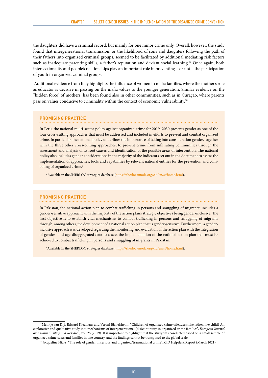the daughters did have a criminal record, but mainly for one minor crime only. Overall, however, the study found that intergenerational transmission, or the likelihood of sons and daughters following the path of their fathers into organized criminal groups, seemed to be facilitated by additional mediating risk factors such as inadequate parenting skills, a father's reputation and deviant social learning.<sup>87</sup> Once again, both intersectionality and people's relationships play an important role in preventing – or not – the participation of youth in organized criminal groups.

 Additional evidence from Italy highlights the influence of women in mafia families, where the mother's role as educator is decisive in passing on the mafia values to the younger generation. Similar evidence on the "hidden force" of mothers, has been found also in other communities, such as in Curaçao, where parents pass on values conducive to criminality within the context of economic vulnerability.<sup>88</sup>

#### **PROMISING PRACTICE**

In Peru, the national multi-sector policy against organized crime for 2019–2030 presents gender as one of the four cross-cutting approaches that must be addressed and included in efforts to prevent and combat organized crime. In particular, the national policy underlines the importance of taking into consideration gender, together with the three other cross-cutting approaches, to prevent crime from infiltrating communities through the assessment and analysis of its root causes and identification of the possible areas of intervention. The national policy also includes gender considerations in the majority of the indicators set out in the document to assess the implementation of approaches, tools and capabilities by relevant national entities for the prevention and combating of organized crime.<sup>a</sup>

<sup>a</sup> Available in the SHERLOC strategies database [\(https://sherloc.unodc.org/cld/en/st/home.html](https://sherloc.unodc.org/cld/en/st/home.html)).

#### **PROMISING PRACTICE**

In Pakistan, the national action plan to combat trafficking in persons and smuggling of migrants<sup>a</sup> includes a gender-sensitive approach, with the majority of the action plan's strategic objectives being gender-inclusive. The first objective is to establish vital mechanisms to combat trafficking in persons and smuggling of migrants through, among others, the development of a national action plan that is gender-sensitive. Furthermore, a genderinclusive approach was developed regarding the monitoring and evaluation of the action plan with the integration of gender- and age-disaggregated data to assess the implementation of the national action plan that must be achieved to combat trafficking in persons and smuggling of migrants in Pakistan.

<sup>a</sup> Available in the SHERLOC strategies database [\(https://sherloc.unodc.org/cld/en/st/home.html](https://sherloc.unodc.org/cld/en/st/home.html)).

<sup>87</sup>Meintje van Dijl, Edward Kleemans and Veroni Eichelsheim, "Children of organized crime offenders: like father, like child? An explorative and qualitative study into mechanisms of intergenerational (dis)continuity in organized crime families", *European Journal on Criminal Policy and Research*, vol. 25 (2019). It is important to highlight that the study was conducted based on a small sample of organized crime cases and families in one country, and the findings cannot be transposed to the global scale.

<sup>88</sup> Jacqueline Hicks, "The role of gender in serious and organised/transnational crime", K4D Helpdesk Report (March 2021).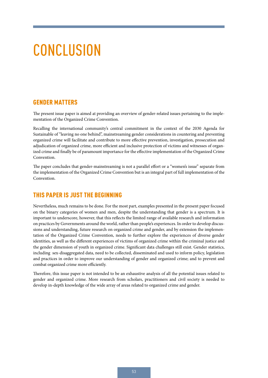## <span id="page-60-0"></span>**CONCLUSION**

#### GENDER MATTERS

The present issue paper is aimed at providing an overview of gender-related issues pertaining to the implementation of the Organized Crime Convention.

Recalling the international community's central commitment in the context of the 2030 Agenda for Sustainable of "leaving no one behind", mainstreaming gender considerations in countering and preventing organized crime will facilitate and contribute to more effective prevention, investigation, prosecution and adjudication of organized crime, more efficient and inclusive protection of victims and witnesses of organized crime and finally be of paramount importance for the effective implementation of the Organized Crime Convention.

The paper concludes that gender-mainstreaming is not a parallel effort or a "women's issue" separate from the implementation of the Organized Crime Convention but is an integral part of full implementation of the Convention.

### THIS PAPER IS JUST THE BEGINNING

Nevertheless, much remains to be done. For the most part, examples presented in the present paper focused on the binary categories of women and men, despite the understanding that gender is a spectrum. It is important to underscore, however, that this reflects the limited range of available research and information on practices by Governments around the world, rather than people's experiences. In order to develop discussions and understanding, future research on organized crime and gender, and by extension the implementation of the Organized Crime Convention, needs to further explore the experiences of diverse gender identities, as well as the different experiences of victims of organized crime within the criminal justice and the gender dimension of youth in organized crime. Significant data challenges still exist. Gender statistics, including sex-disaggregated data, need to be collected, disseminated and used to inform policy, legislation and practices in order to improve our understanding of gender and organized crime; and to prevent and combat organized crime more efficiently.

Therefore, this issue paper is not intended to be an exhaustive analysis of all the potential issues related to gender and organized crime. More research from scholars, practitioners and civil society is needed to develop in-depth knowledge of the wide array of areas related to organized crime and gender.